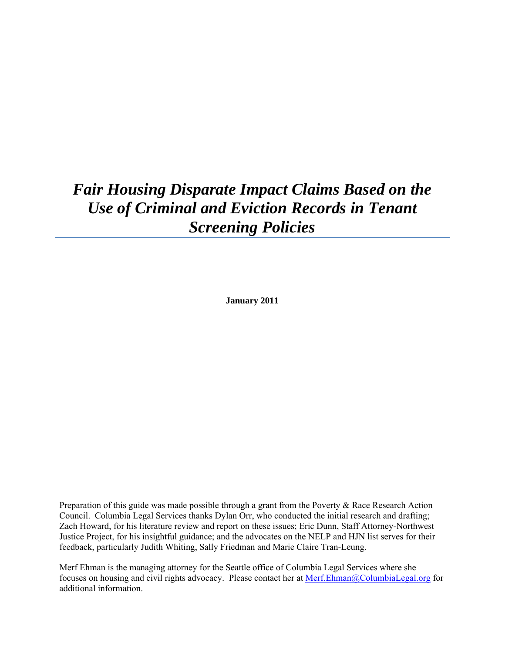# *Fair Housing Disparate Impact Claims Based on the Use of Criminal and Eviction Records in Tenant Screening Policies*

**January 2011** 

Preparation of this guide was made possible through a grant from the Poverty & Race Research Action Council. Columbia Legal Services thanks Dylan Orr, who conducted the initial research and drafting; Zach Howard, for his literature review and report on these issues; Eric Dunn, Staff Attorney-Northwest Justice Project, for his insightful guidance; and the advocates on the NELP and HJN list serves for their feedback, particularly Judith Whiting, Sally Friedman and Marie Claire Tran-Leung.

Merf Ehman is the managing attorney for the Seattle office of Columbia Legal Services where she focuses on housing and civil rights advocacy. Please contact her at [Merf.Ehman@ColumbiaLegal.org](mailto:Merf.Ehman@ColumbiaLegal.org) for additional information.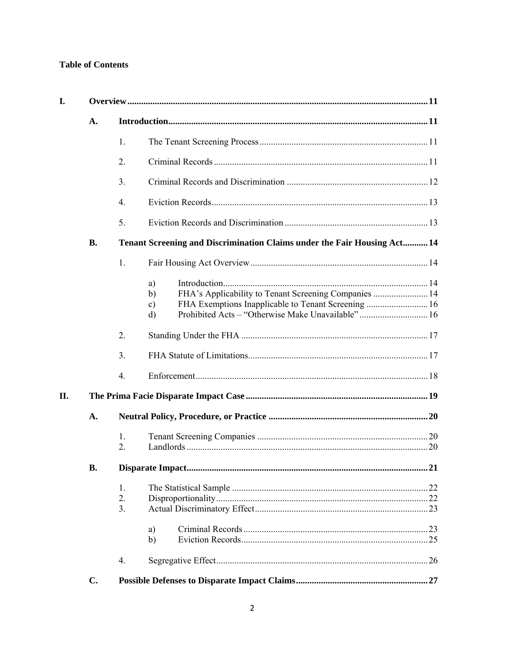# **Table of Contents**

| I.  |                |                                                                          |                                                                                                                                               |  |  |
|-----|----------------|--------------------------------------------------------------------------|-----------------------------------------------------------------------------------------------------------------------------------------------|--|--|
|     | A.             |                                                                          |                                                                                                                                               |  |  |
|     |                | 1.                                                                       |                                                                                                                                               |  |  |
|     |                | 2.                                                                       |                                                                                                                                               |  |  |
|     |                | 3 <sub>1</sub>                                                           |                                                                                                                                               |  |  |
|     |                | 4.                                                                       |                                                                                                                                               |  |  |
|     |                | 5.                                                                       |                                                                                                                                               |  |  |
|     | <b>B.</b>      | Tenant Screening and Discrimination Claims under the Fair Housing Act 14 |                                                                                                                                               |  |  |
|     |                | 1.                                                                       |                                                                                                                                               |  |  |
| II. |                |                                                                          | a)<br>FHA's Applicability to Tenant Screening Companies  14<br>b)<br>$\mathbf{c})$<br>Prohibited Acts - "Otherwise Make Unavailable" 16<br>d) |  |  |
|     |                | 2.                                                                       |                                                                                                                                               |  |  |
|     |                | 3 <sub>1</sub>                                                           |                                                                                                                                               |  |  |
|     |                | $\overline{4}$ .                                                         |                                                                                                                                               |  |  |
|     |                |                                                                          |                                                                                                                                               |  |  |
|     | A.             |                                                                          |                                                                                                                                               |  |  |
|     |                | 1.<br>2.                                                                 |                                                                                                                                               |  |  |
|     | <b>B.</b>      |                                                                          |                                                                                                                                               |  |  |
|     |                | 1.<br>2.<br>3.                                                           | a)<br>b)                                                                                                                                      |  |  |
|     | $\mathbf{C}$ . | $\overline{4}$ .                                                         |                                                                                                                                               |  |  |
|     |                |                                                                          |                                                                                                                                               |  |  |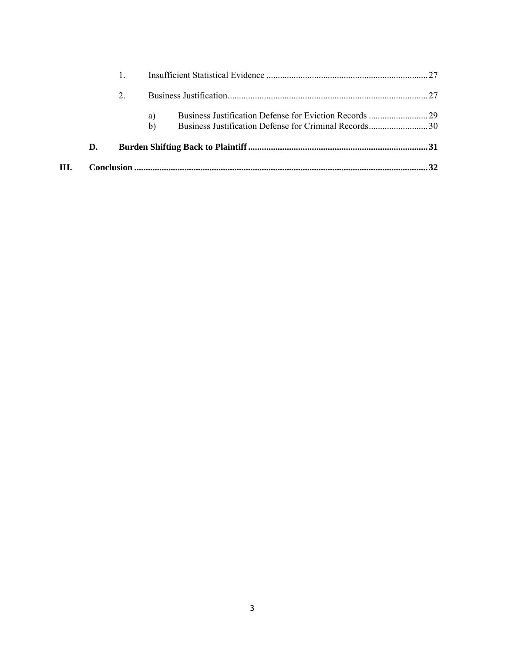| III. |    |    |  |
|------|----|----|--|
|      | D. |    |  |
|      |    | b) |  |
|      |    | a) |  |
|      |    |    |  |
|      |    |    |  |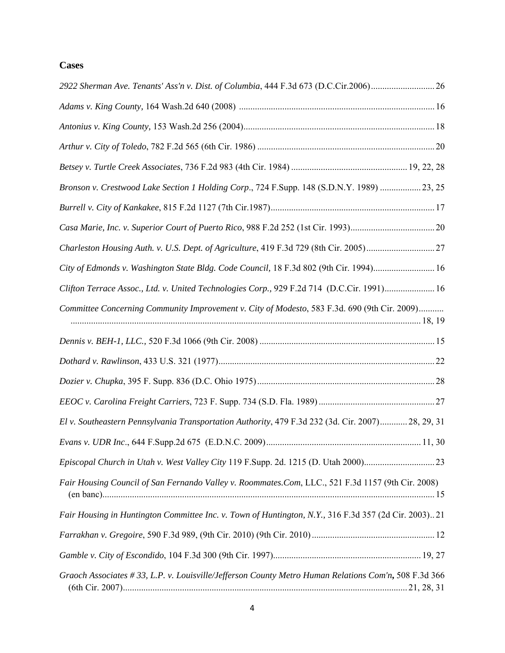# **Cases**

| 2922 Sherman Ave. Tenants' Ass'n v. Dist. of Columbia, 444 F.3d 673 (D.C.Cir.2006)                   |  |
|------------------------------------------------------------------------------------------------------|--|
|                                                                                                      |  |
|                                                                                                      |  |
|                                                                                                      |  |
|                                                                                                      |  |
| Bronson v. Crestwood Lake Section 1 Holding Corp., 724 F.Supp. 148 (S.D.N.Y. 1989) 23, 25            |  |
|                                                                                                      |  |
|                                                                                                      |  |
| Charleston Housing Auth. v. U.S. Dept. of Agriculture, 419 F.3d 729 (8th Cir. 2005)27                |  |
| City of Edmonds v. Washington State Bldg. Code Council, 18 F.3d 802 (9th Cir. 1994) 16               |  |
| Clifton Terrace Assoc., Ltd. v. United Technologies Corp., 929 F.2d 714 (D.C.Cir. 1991) 16           |  |
| Committee Concerning Community Improvement v. City of Modesto, 583 F.3d. 690 (9th Cir. 2009)         |  |
|                                                                                                      |  |
|                                                                                                      |  |
|                                                                                                      |  |
|                                                                                                      |  |
| El v. Southeastern Pennsylvania Transportation Authority, 479 F.3d 232 (3d. Cir. 2007) 28, 29, 31    |  |
|                                                                                                      |  |
| Episcopal Church in Utah v. West Valley City 119 F.Supp. 2d. 1215 (D. Utah 2000)23                   |  |
| Fair Housing Council of San Fernando Valley v. Roommates.Com, LLC., 521 F.3d 1157 (9th Cir. 2008)    |  |
| Fair Housing in Huntington Committee Inc. v. Town of Huntington, N.Y., 316 F.3d 357 (2d Cir. 2003)21 |  |
|                                                                                                      |  |
|                                                                                                      |  |
| Graoch Associates #33, L.P. v. Louisville/Jefferson County Metro Human Relations Com'n, 508 F.3d 366 |  |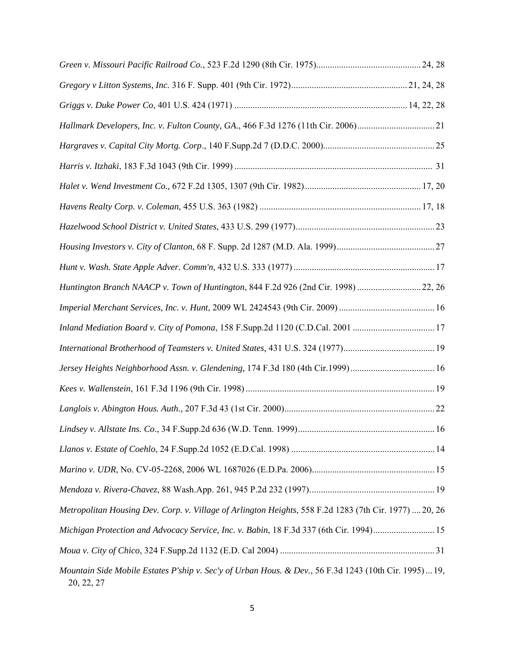| Hallmark Developers, Inc. v. Fulton County, GA., 466 F.3d 1276 (11th Cir. 2006)21                                   |  |
|---------------------------------------------------------------------------------------------------------------------|--|
|                                                                                                                     |  |
|                                                                                                                     |  |
|                                                                                                                     |  |
|                                                                                                                     |  |
|                                                                                                                     |  |
|                                                                                                                     |  |
|                                                                                                                     |  |
| Huntington Branch NAACP v. Town of Huntington, 844 F.2d 926 (2nd Cir. 1998)  22, 26                                 |  |
|                                                                                                                     |  |
| Inland Mediation Board v. City of Pomona, 158 F.Supp.2d 1120 (C.D.Cal. 2001 17                                      |  |
| International Brotherhood of Teamsters v. United States, 431 U.S. 324 (1977)19                                      |  |
|                                                                                                                     |  |
|                                                                                                                     |  |
|                                                                                                                     |  |
|                                                                                                                     |  |
|                                                                                                                     |  |
|                                                                                                                     |  |
|                                                                                                                     |  |
| Metropolitan Housing Dev. Corp. v. Village of Arlington Heights, 558 F.2d 1283 (7th Cir. 1977)  20, 26              |  |
| Michigan Protection and Advocacy Service, Inc. v. Babin, 18 F.3d 337 (6th Cir. 1994)15                              |  |
|                                                                                                                     |  |
| Mountain Side Mobile Estates P'ship v. Sec'y of Urban Hous. & Dev., 56 F.3d 1243 (10th Cir. 1995) 19,<br>20, 22, 27 |  |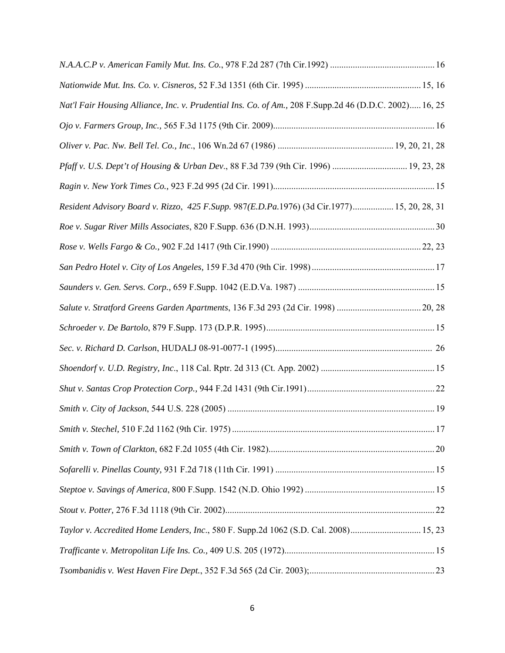| Nat'l Fair Housing Alliance, Inc. v. Prudential Ins. Co. of Am., 208 F.Supp.2d 46 (D.D.C. 2002) 16, 25 |  |
|--------------------------------------------------------------------------------------------------------|--|
|                                                                                                        |  |
|                                                                                                        |  |
| Pfaff v. U.S. Dept't of Housing & Urban Dev., 88 F.3d 739 (9th Cir. 1996)  19, 23, 28                  |  |
|                                                                                                        |  |
| Resident Advisory Board v. Rizzo, 425 F.Supp. 987(E.D.Pa.1976) (3d Cir.1977) 15, 20, 28, 31            |  |
|                                                                                                        |  |
|                                                                                                        |  |
|                                                                                                        |  |
|                                                                                                        |  |
|                                                                                                        |  |
|                                                                                                        |  |
|                                                                                                        |  |
|                                                                                                        |  |
|                                                                                                        |  |
|                                                                                                        |  |
|                                                                                                        |  |
|                                                                                                        |  |
|                                                                                                        |  |
|                                                                                                        |  |
|                                                                                                        |  |
| Taylor v. Accredited Home Lenders, Inc., 580 F. Supp.2d 1062 (S.D. Cal. 2008) 15, 23                   |  |
|                                                                                                        |  |
|                                                                                                        |  |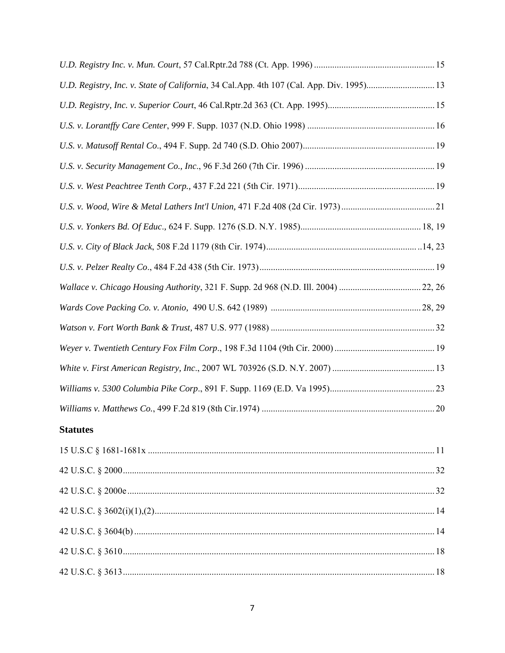| U.D. Registry, Inc. v. State of California, 34 Cal.App. 4th 107 (Cal. App. Div. 1995) 13 |  |
|------------------------------------------------------------------------------------------|--|
|                                                                                          |  |
|                                                                                          |  |
|                                                                                          |  |
|                                                                                          |  |
|                                                                                          |  |
|                                                                                          |  |
|                                                                                          |  |
|                                                                                          |  |
|                                                                                          |  |
| Wallace v. Chicago Housing Authority, 321 F. Supp. 2d 968 (N.D. Ill. 2004) 22, 26        |  |
|                                                                                          |  |
|                                                                                          |  |
|                                                                                          |  |
|                                                                                          |  |
|                                                                                          |  |
|                                                                                          |  |

# **Statutes**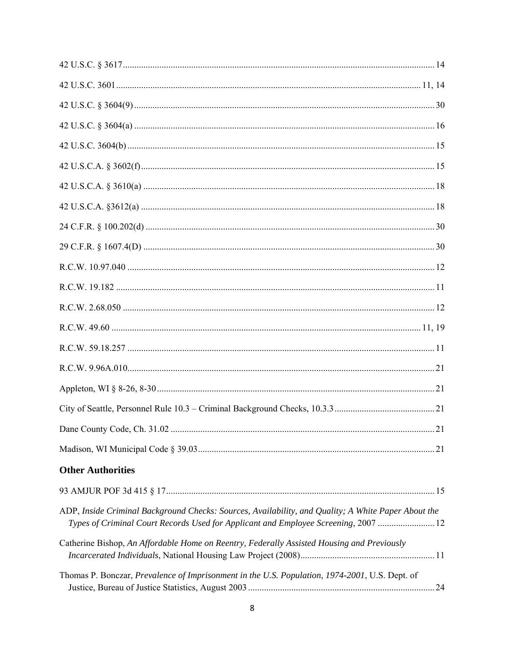| <b>Other Authorities</b>                                                                                                                                                                   |  |
|--------------------------------------------------------------------------------------------------------------------------------------------------------------------------------------------|--|
|                                                                                                                                                                                            |  |
| ADP, Inside Criminal Background Checks: Sources, Availability, and Quality; A White Paper About the<br>Types of Criminal Court Records Used for Applicant and Employee Screening, 2007  12 |  |
| Catherine Bishop, An Affordable Home on Reentry, Federally Assisted Housing and Previously                                                                                                 |  |
| Thomas P. Bonczar, Prevalence of Imprisonment in the U.S. Population, 1974-2001, U.S. Dept. of                                                                                             |  |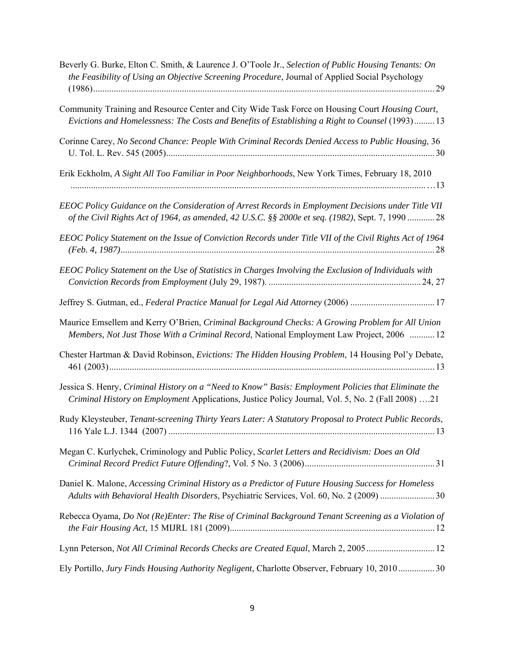| Beverly G. Burke, Elton C. Smith, & Laurence J. O'Toole Jr., Selection of Public Housing Tenants: On<br>the Feasibility of Using an Objective Screening Procedure, Journal of Applied Social Psychology   |
|-----------------------------------------------------------------------------------------------------------------------------------------------------------------------------------------------------------|
| Community Training and Resource Center and City Wide Task Force on Housing Court Housing Court,<br>Evictions and Homelessness: The Costs and Benefits of Establishing a Right to Counsel (1993) 13        |
| Corinne Carey, No Second Chance: People With Criminal Records Denied Access to Public Housing, 36                                                                                                         |
| Erik Eckholm, A Sight All Too Familiar in Poor Neighborhoods, New York Times, February 18, 2010                                                                                                           |
| EEOC Policy Guidance on the Consideration of Arrest Records in Employment Decisions under Title VII<br>of the Civil Rights Act of 1964, as amended, 42 U.S.C. §§ 2000e et seq. (1982), Sept. 7, 1990 28   |
| EEOC Policy Statement on the Issue of Conviction Records under Title VII of the Civil Rights Act of 1964                                                                                                  |
| EEOC Policy Statement on the Use of Statistics in Charges Involving the Exclusion of Individuals with                                                                                                     |
| Jeffrey S. Gutman, ed., Federal Practice Manual for Legal Aid Attorney (2006) 17                                                                                                                          |
| Maurice Emsellem and Kerry O'Brien, Criminal Background Checks: A Growing Problem for All Union<br>Members, Not Just Those With a Criminal Record, National Employment Law Project, 2006  12              |
| Chester Hartman & David Robinson, Evictions: The Hidden Housing Problem, 14 Housing Pol'y Debate,                                                                                                         |
| Jessica S. Henry, Criminal History on a "Need to Know" Basis: Employment Policies that Eliminate the<br>Criminal History on Employment Applications, Justice Policy Journal, Vol. 5, No. 2 (Fall 2008) 21 |
| Rudy Kleysteuber, Tenant-screening Thirty Years Later: A Statutory Proposal to Protect Public Records,                                                                                                    |
| Megan C. Kurlychek, Criminology and Public Policy, Scarlet Letters and Recidivism: Does an Old                                                                                                            |
| Daniel K. Malone, Accessing Criminal History as a Predictor of Future Housing Success for Homeless<br>Adults with Behavioral Health Disorders, Psychiatric Services, Vol. 60, No. 2 (2009) 30             |
| Rebecca Oyama, Do Not (Re)Enter: The Rise of Criminal Background Tenant Screening as a Violation of                                                                                                       |
| Lynn Peterson, Not All Criminal Records Checks are Created Equal, March 2, 2005 12                                                                                                                        |
| Ely Portillo, Jury Finds Housing Authority Negligent, Charlotte Observer, February 10, 2010 30                                                                                                            |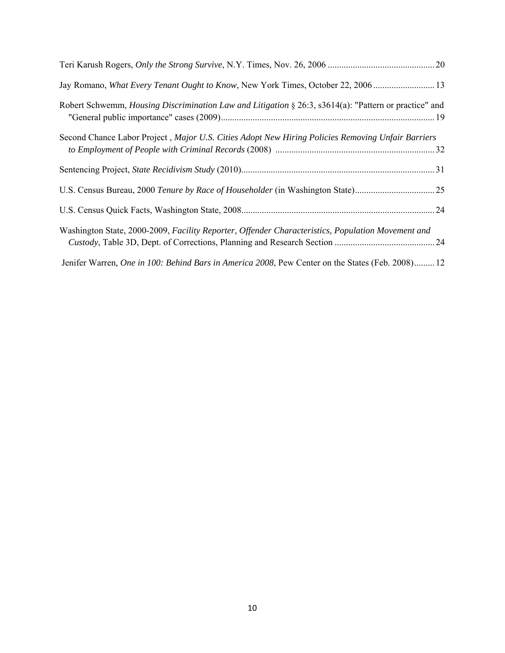| Jay Romano, What Every Tenant Ought to Know, New York Times, October 22, 2006                                |
|--------------------------------------------------------------------------------------------------------------|
| Robert Schwemm, <i>Housing Discrimination Law and Litigation</i> § 26:3, s3614(a): "Pattern or practice" and |
| Second Chance Labor Project, Major U.S. Cities Adopt New Hiring Policies Removing Unfair Barriers            |
|                                                                                                              |
|                                                                                                              |
| U.S. Census Bureau, 2000 Tenure by Race of Householder (in Washington State)25                               |
|                                                                                                              |
| Washington State, 2000-2009, Facility Reporter, Offender Characteristics, Population Movement and            |
|                                                                                                              |
| Jenifer Warren, One in 100: Behind Bars in America 2008, Pew Center on the States (Feb. 2008) 12             |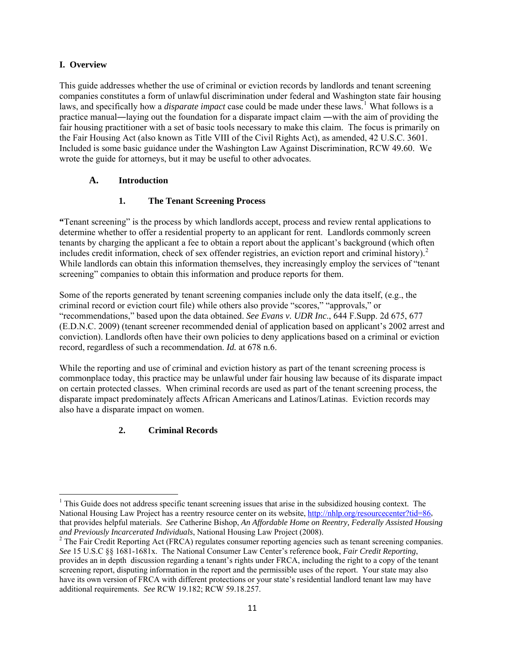# **I. Overview**

This guide addresses whether the use of criminal or eviction records by landlords and tenant screening companies constitutes a form of unlawful discrimination under federal and Washington state fair housing laws, and specifically how a *disparate impact* case could be made under these laws.<sup>[1](#page-10-0)</sup> What follows is a practice manual―laying out the foundation for a disparate impact claim ―with the aim of providing the fair housing practitioner with a set of basic tools necessary to make this claim. The focus is primarily on the Fair Housing Act (also known as Title VIII of the Civil Rights Act), as amended, 42 U.S.C. 3601. Included is some basic guidance under the Washington Law Against Discrimination, RCW 49.60. We wrote the guide for attorneys, but it may be useful to other advocates.

# **A. Introduction**

# **1. The Tenant Screening Process**

**"**Tenant screening" is the process by which landlords accept, process and review rental applications to determine whether to offer a residential property to an applicant for rent. Landlords commonly screen tenants by charging the applicant a fee to obtain a report about the applicant's background (which often includes credit information, check of sex offender registries, an eviction report and criminal history).<sup>[2](#page-10-1)</sup> While landlords can obtain this information themselves, they increasingly employ the services of "tenant" screening" companies to obtain this information and produce reports for them.

Some of the reports generated by tenant screening companies include only the data itself, (e.g., the criminal record or eviction court file) while others also provide "scores," "approvals," or "recommendations," based upon the data obtained. *See Evans v. UDR Inc*., 644 F.Supp. 2d 675, 677 (E.D.N.C. 2009) (tenant screener recommended denial of application based on applicant's 2002 arrest and conviction). Landlords often have their own policies to deny applications based on a criminal or eviction record, regardless of such a recommendation. *Id.* at 678 n.6.

While the reporting and use of criminal and eviction history as part of the tenant screening process is commonplace today, this practice may be unlawful under fair housing law because of its disparate impact on certain protected classes. When criminal records are used as part of the tenant screening process, the disparate impact predominately affects African Americans and Latinos/Latinas. Eviction records may also have a disparate impact on women.

# **2. Criminal Records**

<span id="page-10-0"></span>  $<sup>1</sup>$  This Guide does not address specific tenant screening issues that arise in the subsidized housing context. The</sup> National Housing Law Project has a reentry resource center on its website, [http://nhlp.org/resourcecenter?tid=86,](http://nhlp.org/resourcecenter?tid=86) that provides helpful materials. *See* Catherine Bishop, *An Affordable Home on Reentry, Federally Assisted Housing and Previously Incarcerated Individuals*, National Housing Law Project (2008). 2

<span id="page-10-1"></span><sup>&</sup>lt;sup>2</sup> The Fair Credit Reporting Act (FRCA) regulates consumer reporting agencies such as tenant screening companies. *See* 15 U.S.C §§ 1681-1681x. The National Consumer Law Center's reference book, *Fair Credit Reporting*, provides an in depth discussion regarding a tenant's rights under FRCA, including the right to a copy of the tenant screening report, disputing information in the report and the permissible uses of the report. Your state may also have its own version of FRCA with different protections or your state's residential landlord tenant law may have additional requirements. *See* RCW 19.182; RCW 59.18.257.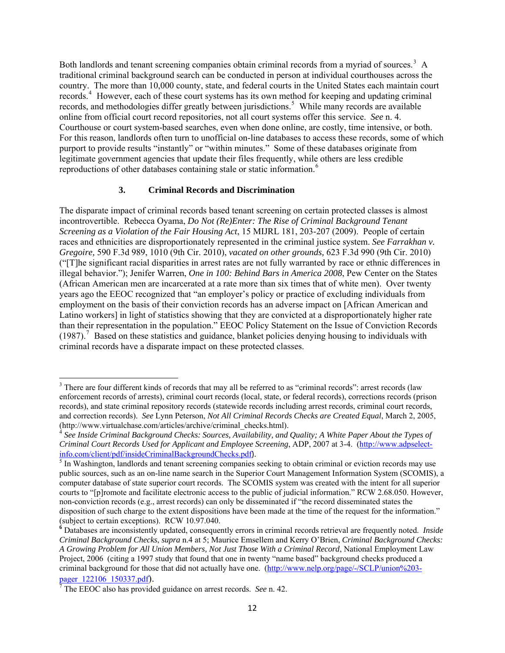Both landlords and tenant screening companies obtain criminal records from a myriad of sources.<sup>[3](#page-11-0)</sup> A traditional criminal background search can be conducted in person at individual courthouses across the country. The more than 10,000 county, state, and federal courts in the United States each maintain court records.<sup>[4](#page-11-1)</sup> However, each of these court systems has its own method for keeping and updating criminal records, and methodologies differ greatly between jurisdictions.<sup>[5](#page-11-2)</sup> While many records are available online from official court record repositories, not all court systems offer this service. *See* n. 4. Courthouse or court system-based searches, even when done online, are costly, time intensive, or both. For this reason, landlords often turn to unofficial on-line databases to access these records, some of which purport to provide results "instantly" or "within minutes." Some of these databases originate from legitimate government agencies that update their files frequently, while others are less credible reproductions of other databases containing stale or static information.<sup>[6](#page-11-3)</sup>

#### **3. Criminal Records and Discrimination**

The disparate impact of criminal records based tenant screening on certain protected classes is almost incontrovertible. Rebecca Oyama, *Do Not (Re)Enter: The Rise of Criminal Background Tenant Screening as a Violation of the Fair Housing Act*, 15 MIJRL 181, 203-207 (2009). People of certain races and ethnicities are disproportionately represented in the criminal justice system. *See Farrakhan v. Gregoire,* 590 F.3d 989, 1010 (9th Cir. 2010), *vacated on other grounds,* 623 F.3d 990 (9th Cir. 2010) ("[T]he significant racial disparities in arrest rates are not fully warranted by race or ethnic differences in illegal behavior."); Jenifer Warren, *One in 100: Behind Bars in America 2008*, Pew Center on the States (African American men are incarcerated at a rate more than six times that of white men). Over twenty years ago the EEOC recognized that "an employer's policy or practice of excluding individuals from employment on the basis of their conviction records has an adverse impact on [African American and Latino workers] in light of statistics showing that they are convicted at a disproportionately higher rate than their representation in the population." EEOC Policy Statement on the Issue of Conviction Records  $(1987)$  $(1987)$  $(1987)$ .<sup>7</sup> Based on these statistics and guidance, blanket policies denying housing to individuals with criminal records have a disparate impact on these protected classes.

<span id="page-11-0"></span> $3$  There are four different kinds of records that may all be referred to as "criminal records": arrest records (law enforcement records of arrests), criminal court records (local, state, or federal records), corrections records (prison records), and state criminal repository records (statewide records including arrest records, criminal court records, and correction records). *See* Lynn Peterson, *Not All Criminal Records Checks are Created Equal*, March 2, 2005, (http://www.virtualchase.com/articles/archive/criminal\_checks.html).

<span id="page-11-1"></span><sup>4</sup> *See Inside Criminal Background Checks: Sources, Availability, and Quality; A White Paper About the Types of Criminal Court Records Used for Applicant and Employee Screening*, ADP, 2007 at 3-4. [\(http://www.adpselect](http://www.adpselect-info.com/client/pdf/insideCriminalBackgroundChecks.pdf)[info.com/client/pdf/insideCriminalBackgroundChecks.pdf](http://www.adpselect-info.com/client/pdf/insideCriminalBackgroundChecks.pdf)). <sup>5</sup>

<span id="page-11-2"></span><sup>&</sup>lt;sup>5</sup> In Washington, landlords and tenant screening companies seeking to obtain criminal or eviction records may use public sources, such as an on-line name search in the Superior Court Management Information System (SCOMIS), a computer database of state superior court records. The SCOMIS system was created with the intent for all superior courts to "[p]romote and facilitate electronic access to the public of judicial information." RCW 2.68.050. However, non-conviction records (e.g., arrest records) can only be disseminated if "the record disseminated states the disposition of such charge to the extent dispositions have been made at the time of the request for the information." (subject to certain exceptions). RCW 10.97.040.

<span id="page-11-3"></span>**<sup>6</sup>** Databases are inconsistently updated, consequently errors in criminal records retrieval are frequently noted. *Inside Criminal Background Checks*, *supra* n.4 at 5; Maurice Emsellem and Kerry O'Brien, *Criminal Background Checks: A Growing Problem for All Union Members, Not Just Those With a Criminal Record*, National Employment Law Project, 2006 (citing a 1997 study that found that one in twenty "name based" background checks produced a criminal background for those that did not actually have one. [\(http://www.nelp.org/page/-/SCLP/union%203-](http://www.nelp.org/page/-/SCLP/union%203-pager_122106_150337.pdf)

<span id="page-11-4"></span>[pager\\_122106\\_150337.pdf](http://www.nelp.org/page/-/SCLP/union%203-pager_122106_150337.pdf)). <sup>7</sup> The EEOC also has provided guidance on arrest records. *See* n. 42.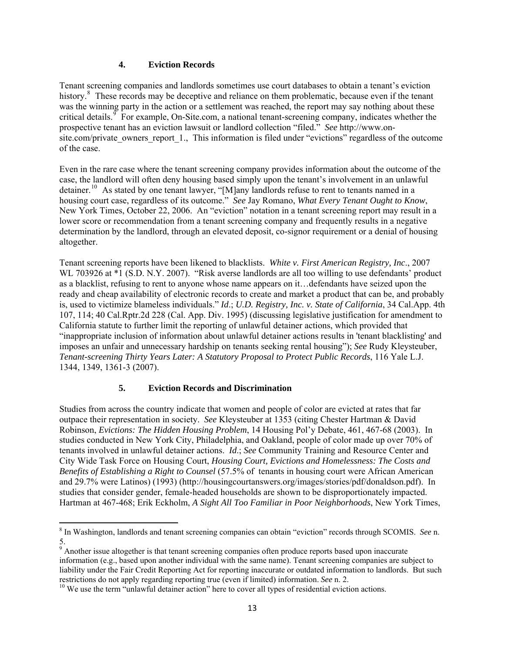# **4. Eviction Records**

Tenant screening companies and landlords sometimes use court databases to obtain a tenant's eviction history.<sup>[8](#page-12-0)</sup> These records may be deceptive and reliance on them problematic, because even if the tenant was the winning party in the action or a settlement was reached, the report may say nothing about these critical details. For example, On-Site.com, a national tenant-screening company, indicates whether the prospective tenant has an eviction lawsuit or landlord collection "filed." *See* http://www.onsite.com/private owners report 1., This information is filed under "evictions" regardless of the outcome of the case.

Even in the rare case where the tenant screening company provides information about the outcome of the case, the landlord will often deny housing based simply upon the tenant's involvement in an unlawful detainer.<sup>[10](#page-12-2)</sup> As stated by one tenant lawyer, "[M]any landlords refuse to rent to tenants named in a housing court case, regardless of its outcome." *See* Jay Romano, *What Every Tenant Ought to Know*, New York Times, October 22, 2006. An "eviction" notation in a tenant screening report may result in a lower score or recommendation from a tenant screening company and frequently results in a negative determination by the landlord, through an elevated deposit, co-signor requirement or a denial of housing altogether.

Tenant screening reports have been likened to blacklists. *White v. First American Registry, Inc*., 2007 WL 703926 at  $*1$  (S.D. N.Y. 2007). "Risk averse landlords are all too willing to use defendants' product as a blacklist, refusing to rent to anyone whose name appears on it…defendants have seized upon the ready and cheap availability of electronic records to create and market a product that can be, and probably is, used to victimize blameless individuals." *Id*.; *U.D. Registry, Inc. v. State of California*, 34 Cal.App. 4th 107, 114; 40 Cal.Rptr.2d 228 (Cal. App. Div. 1995) (discussing legislative justification for amendment to California statute to further limit the reporting of unlawful detainer actions, which provided that "inappropriate inclusion of information about unlawful detainer actions results in 'tenant blacklisting' and imposes an unfair and unnecessary hardship on tenants seeking rental housing"); *See* Rudy Kleysteuber, *Tenant-screening Thirty Years Later: A Statutory Proposal to Protect Public Records*, 116 Yale L.J. 1344, 1349, 1361-3 (2007).

# **5. Eviction Records and Discrimination**

Studies from across the country indicate that women and people of color are evicted at rates that far outpace their representation in society. *See* Kleysteuber at 1353 (citing Chester Hartman & David Robinson, *Evictions: The Hidden Housing Problem*, 14 Housing Pol'y Debate, 461, 467-68 (2003). In studies conducted in New York City, Philadelphia, and Oakland, people of color made up over 70% of tenants involved in unlawful detainer actions. *Id*.; *See* Community Training and Resource Center and City Wide Task Force on Housing Court, *Housing Court, Evictions and Homelessness: The Costs and Benefits of Establishing a Right to Counsel* (57.5% of tenants in housing court were African American and 29.7% were Latinos) (1993) (http://housingcourtanswers.org/images/stories/pdf/donaldson.pdf). In studies that consider gender, female-headed households are shown to be disproportionately impacted. Hartman at 467-468; Erik Eckholm, *A Sight All Too Familiar in Poor Neighborhoods*, New York Times,

<span id="page-12-0"></span> 8 In Washington, landlords and tenant screening companies can obtain "eviction" records through SCOMIS. *See* n. 5.

<span id="page-12-1"></span><sup>&</sup>lt;sup>9</sup> Another issue altogether is that tenant screening companies often produce reports based upon inaccurate information (e.g., based upon another individual with the same name). Tenant screening companies are subject to liability under the Fair Credit Reporting Act for reporting inaccurate or outdated information to landlords. But such restrictions do not apply regarding reporting true (even if limited) information. *See* n. 2.<br><sup>10</sup> We use the term "unlawful detainer action" here to cover all types of residential eviction actions.

<span id="page-12-2"></span>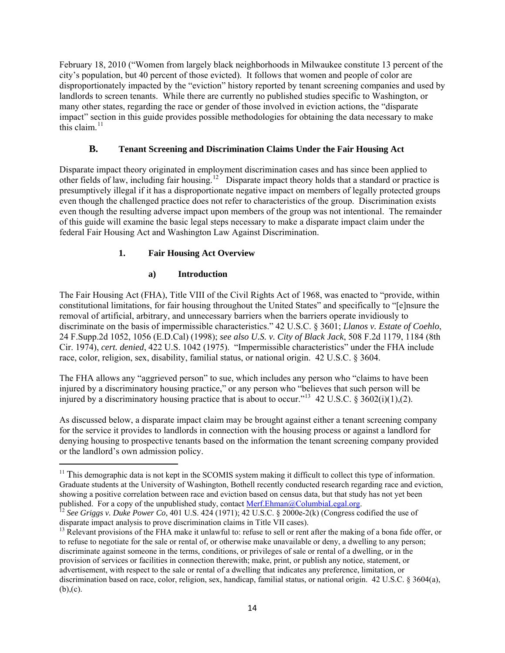February 18, 2010 ("Women from largely black neighborhoods in Milwaukee constitute 13 percent of the city's population, but 40 percent of those evicted). It follows that women and people of color are disproportionately impacted by the "eviction" history reported by tenant screening companies and used by landlords to screen tenants. While there are currently no published studies specific to Washington, or many other states, regarding the race or gender of those involved in eviction actions, the "disparate impact" section in this guide provides possible methodologies for obtaining the data necessary to make this claim. $^{11}$  $^{11}$  $^{11}$ 

# **B. Tenant Screening and Discrimination Claims Under the Fair Housing Act**

Disparate impact theory originated in employment discrimination cases and has since been applied to other fields of law, including fair housing.<sup>[12](#page-13-1)</sup> Disparate impact theory holds that a standard or practice is presumptively illegal if it has a disproportionate negative impact on members of legally protected groups even though the challenged practice does not refer to characteristics of the group. Discrimination exists even though the resulting adverse impact upon members of the group was not intentional. The remainder of this guide will examine the basic legal steps necessary to make a disparate impact claim under the federal Fair Housing Act and Washington Law Against Discrimination.

# **1. Fair Housing Act Overview**

# **a) Introduction**

The Fair Housing Act (FHA), Title VIII of the Civil Rights Act of 1968, was enacted to "provide, within constitutional limitations, for fair housing throughout the United States" and specifically to "[e]nsure the removal of artificial, arbitrary, and unnecessary barriers when the barriers operate invidiously to discriminate on the basis of impermissible characteristics." 42 U.S.C. § 3601; *Llanos v. Estate of Coehlo*, 24 F.Supp.2d 1052, 1056 (E.D.Cal) (1998); *see also U.S. v. City of Black Jack*, 508 F.2d 1179, 1184 (8th Cir. 1974), *cert. denied*, 422 U.S. 1042 (1975). "Impermissible characteristics" under the FHA include race, color, religion, sex, disability, familial status, or national origin. 42 U.S.C. § 3604.

The FHA allows any "aggrieved person" to sue, which includes any person who "claims to have been injured by a discriminatory housing practice," or any person who "believes that such person will be injured by a discriminatory housing practice that is about to occur."<sup>[13](#page-13-2)</sup> 42 U.S.C. § 3602(i)(1),(2).

As discussed below, a disparate impact claim may be brought against either a tenant screening company for the service it provides to landlords in connection with the housing process or against a landlord for denying housing to prospective tenants based on the information the tenant screening company provided or the landlord's own admission policy.

<span id="page-13-0"></span><sup>&</sup>lt;sup>11</sup> This demographic data is not kept in the SCOMIS system making it difficult to collect this type of information. Graduate students at the University of Washington, Bothell recently conducted research regarding race and eviction, showing a positive correlation between race and eviction based on census data, but that study has not yet been published. For a copy of the unpublished study, contact <u>Merf.Ehman@ColumbiaLegal.org</u>.<br><sup>12</sup> *See Griggs v. Duke Power Co*, 401 U.S. 424 (1971); 42 U.S.C. § 2000e-2(k) (Congress codified the use of

<span id="page-13-1"></span>disparate impact analysis to prove discrimination claims in Title VII cases).

<span id="page-13-2"></span><sup>&</sup>lt;sup>13</sup> Relevant provisions of the FHA make it unlawful to: refuse to sell or rent after the making of a bona fide offer, or to refuse to negotiate for the sale or rental of, or otherwise make unavailable or deny, a dwelling to any person; discriminate against someone in the terms, conditions, or privileges of sale or rental of a dwelling, or in the provision of services or facilities in connection therewith; make, print, or publish any notice, statement, or advertisement, with respect to the sale or rental of a dwelling that indicates any preference, limitation, or discrimination based on race, color, religion, sex, handicap, familial status, or national origin. 42 U.S.C. § 3604(a),  $(b)$ , $(c)$ .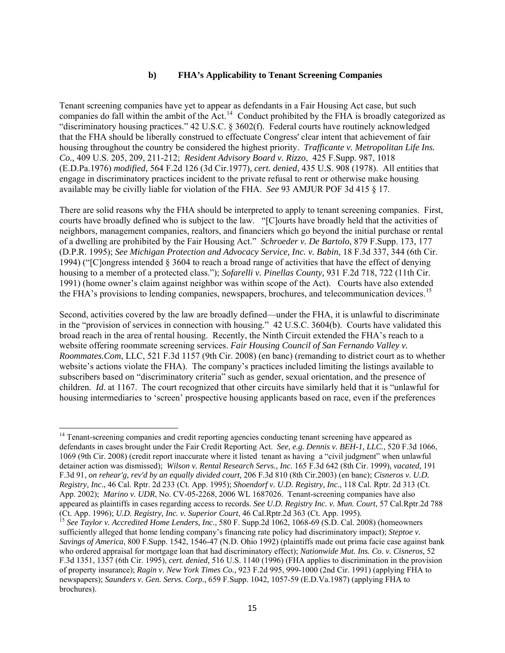#### **b) FHA's Applicability to Tenant Screening Companies**

Tenant screening companies have yet to appear as defendants in a Fair Housing Act case, but such companies do fall within the ambit of the Act.<sup>[14](#page-14-0)</sup> Conduct prohibited by the FHA is broadly categorized as "discriminatory housing practices." 42 U.S.C. § 3602(f). Federal courts have routinely acknowledged that the FHA should be liberally construed to effectuate Congress' clear intent that achievement of fair housing throughout the country be considered the highest priority. *Trafficante v. Metropolitan Life Ins. Co.,* 409 U.S. 205, 209, 211-212; *Resident Advisory Board v. Rizzo*, 425 F.Supp. 987, 1018 (E.D.Pa.1976) *modified,* 564 F.2d 126 (3d Cir.1977), *cert. denied,* 435 U.S. 908 (1978). All entities that engage in discriminatory practices incident to the private refusal to rent or otherwise make housing available may be civilly liable for violation of the FHA. *See* 93 AMJUR POF 3d 415 § 17.

There are solid reasons why the FHA should be interpreted to apply to tenant screening companies. First, courts have broadly defined who is subject to the law. "[C]ourts have broadly held that the activities of neighbors, management companies, realtors, and financiers which go beyond the initial purchase or rental of a dwelling are prohibited by the Fair Housing Act." *Schroeder v. De Bartolo*, 879 F.Supp. 173, 177 (D.P.R. 1995); *See Michigan Protection and Advocacy Service, Inc. v. Babin*, 18 F.3d 337, 344 (6th Cir. 1994) ("[C]ongress intended § 3604 to reach a broad range of activities that have the effect of denying housing to a member of a protected class."); *Sofarelli v. Pinellas County,* 931 F.2d 718, 722 (11th Cir. 1991) (home owner's claim against neighbor was within scope of the Act). Courts have also extended the FHA's provisions to lending companies, newspapers, brochures, and telecommunication devices.<sup>[15](#page-14-1)</sup>

Second, activities covered by the law are broadly defined—under the FHA, it is unlawful to discriminate in the "provision of services in connection with housing." 42 U.S.C. 3604(b). Courts have validated this broad reach in the area of rental housing. Recently, the Ninth Circuit extended the FHA's reach to a website offering roommate screening services. *Fair Housing Council of San Fernando Valley v. Roommates.Com*, LLC, 521 F.3d 1157 (9th Cir. 2008) (en banc) (remanding to district court as to whether website's actions violate the FHA). The company's practices included limiting the listings available to subscribers based on "discriminatory criteria" such as gender, sexual orientation, and the presence of children. *Id*. at 1167. The court recognized that other circuits have similarly held that it is "unlawful for housing intermediaries to 'screen' prospective housing applicants based on race, even if the preferences

<span id="page-14-0"></span><sup>&</sup>lt;sup>14</sup> Tenant-screening companies and credit reporting agencies conducting tenant screening have appeared as defendants in cases brought under the Fair Credit Reporting Act. *See, e.g. Dennis v. BEH-1, LLC.,* 520 F.3d 1066, 1069 (9th Cir. 2008) (credit report inaccurate where it listed tenant as having a "civil judgment" when unlawful detainer action was dismissed); *Wilson v. Rental Research Servs., Inc*. 165 F.3d 642 (8th Cir. 1999), *vacated,* 191 F.3d 91, *on rehear'g, rev'd by an equally divided court,* [206 F.3d 810 \(8th Cir.2003\)](https://web2.westlaw.com/find/default.wl?tf=-1&rs=WLW10.08&serialnum=2000074902&fn=_top&sv=Split&tc=-1&findtype=Y&ordoc=2004278778&mt=Washington&stid=%7b25d89f16-8b75-4301-ad9a-312221e753dd%7d&db=506&vr=2.0&rp=%2ffind%2fdefault.wl&pbc=2E32F7D7) (en banc); *Cisneros v. U.D. Registry, Inc*., 46 Cal. Rptr. 2d 233 (Ct. App. 1995); *Shoendorf v. U.D. Registry, Inc*., 118 Cal. Rptr. 2d 313 (Ct. App. 2002); *Marino v. UDR*, No. CV-05-2268, 2006 WL 1687026. Tenant-screening companies have also appeared as plaintiffs in cases regarding access to records. *See U.D. Registry Inc. v. Mun. Court*, 57 Cal.Rptr.2d 788 (Ct. App. 1996); *U.D. Registry, Inc. v. Superior Court*, 46 Cal.Rptr.2d 363 (Ct. App. 1995).

<span id="page-14-1"></span><sup>&</sup>lt;sup>15</sup> See *Taylor v. Accredited Home Lenders, Inc.*, 580 F. Supp.2d 1062, 1068-69 (S.D. Cal. 2008) (homeowners sufficiently alleged that home lending company's financing rate policy had discriminatory impact); *Steptoe v. Savings of America*, 800 F.Supp. 1542, 1546-47 (N.D. Ohio 1992) (plaintiffs made out prima facie case against bank who ordered appraisal for mortgage loan that had discriminatory effect); *Nationwide Mut. Ins. Co. v. Cisneros,* 52 F.3d 1351, 1357 (6th Cir. 1995), *cert. denied,* 516 U.S. 1140 (1996) (FHA applies to discrimination in the provision of property insurance); *Ragin v. New York Times Co.,* 923 F.2d 995, 999-1000 (2nd Cir. 1991) (applying FHA to newspapers); *Saunders v. Gen. Servs. Corp.,* 659 F.Supp. 1042, 1057-59 (E.D.Va.1987) (applying FHA to brochures).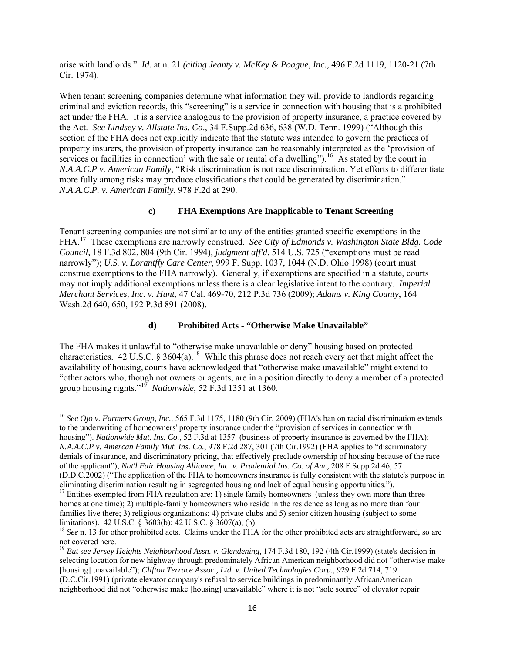arise with landlords." *Id.* at n. 21 *(citing Jeanty v. McKey & Poague, Inc.,* 496 F.2d 1119, 1120-21 (7th Cir. 1974).

When tenant screening companies determine what information they will provide to landlords regarding criminal and eviction records, this "screening" is a service in connection with housing that is a prohibited act under the FHA. It is a service analogous to the provision of property insurance, a practice covered by the Act. *See Lindsey v. Allstate Ins. Co*., 34 F.Supp.2d 636, 638 (W.D. Tenn. 1999) ("Although this section of the FHA does not explicitly indicate that the statute was intended to govern the practices of property insurers, the provision of property insurance can be reasonably interpreted as the 'provision of services or facilities in connection' with the sale or rental of a dwelling").<sup>[16](#page-15-0)</sup> As stated by the court in *N.A.A.C.P v. American Family*, "Risk discrimination is not race discrimination. Yet efforts to differentiate more fully among risks may produce classifications that could be generated by discrimination." *N.A.A.C.P. v. American Family*, 978 F.2d at 290.

# **c) FHA Exemptions Are Inapplicable to Tenant Screening**

Tenant screening companies are not similar to any of the entities granted specific exemptions in the FHA.[17](#page-15-1) These exemptions are narrowly construed. *See City of Edmonds v. Washington State Bldg. Code Council,* 18 F.3d 802, 804 (9th Cir. 1994), *judgment aff'd*, 514 U.S. 725 ("exemptions must be read narrowly"); *U.S. v. Lorantffy Care Center*, 999 F. Supp. 1037, 1044 (N.D. Ohio 1998) (court must construe exemptions to the FHA narrowly). Generally, if exemptions are specified in a statute, courts may not imply additional exemptions unless there is a clear legislative intent to the contrary. *Imperial Merchant Services, Inc. v. Hunt*, 47 Cal. 469-70, 212 P.3d 736 (2009); *Adams v. King County*, 164 Wash.2d 640, 650, 192 P.3d 891 (2008).

# **d) Prohibited Acts - "Otherwise Make Unavailable"**

The FHA makes it unlawful to "otherwise make unavailable or deny" housing based on protected characteristics. 42 U.S.C. § 3604(a).<sup>[18](#page-15-2)</sup> While this phrase does not reach every act that might affect the availability of housing, courts have acknowledged that "otherwise make unavailable" might extend to "other actors who, though not owners or agents, are in a position directly to deny a member of a protected group housing rights."[19](#page-15-3) *Nationwide*, 52 F.3d 1351 at 1360.

<span id="page-15-0"></span><sup>16</sup> *See Ojo v. Farmers Group, Inc.,* 565 F.3d 1175, 1180 (9th Cir. 2009) (FHA's ban on racial discrimination extends to the underwriting of homeowners' property insurance under the "provision of services in connection with housing"). *Nationwide Mut. Ins. Co.*, 52 F.3d at 1357 (business of property insurance is governed by the FHA); *N.A.A.C.P v. Amercan Family Mut. Ins. Co.*, 978 F.2d 287, 301 (7th Cir.1992) (FHA applies to "discriminatory denials of insurance, and discriminatory pricing, that effectively preclude ownership of housing because of the race of the applicant"); *Nat'l Fair Housing Alliance, Inc. v. Prudential Ins. Co. of Am.,* 208 F.Supp.2d 46, 57 (D.D.C.2002) ("The application of the FHA to homeowners insurance is fully consistent with the statute's purpose in eliminating discrimination resulting in segregated housing and lack of equal housing opportunities.").

<span id="page-15-1"></span><sup>&</sup>lt;sup>17</sup> Entities exempted from FHA regulation are: 1) single family homeowners (unless they own more than three homes at one time); 2) multiple-family homeowners who reside in the residence as long as no more than four families live there; 3) religious organizations; 4) private clubs and 5) senior citizen housing (subject to some limitations). 42 U.S.C. § 3603(b); [42 U.S.C. § 3607\(a\),](http://web2.westlaw.com/find/default.wl?tf=-1&rs=WLW9.08&referencepositiontype=T&ifm=NotSet&fn=_top&sv=Split&docname=42USCAS3607&referenceposition=SP%3b8b3b0000958a4&pbc=917B9507&tc=-1&ordoc=0289511217&findtype=L&db=1000546&vr=2.0&rp=%2ffind%2fdefault.wl&mt=208) (b). 18 *See* n. 13 for other prohibited acts are straightforward, so are <sup>18</sup> *See* n. 13 for other prohibited acts. Claims under the FHA for the other prohibited ac

<span id="page-15-2"></span>not covered here.

<span id="page-15-3"></span><sup>19</sup> *But* s*ee Jersey Heights Neighborhood Assn. v. Glendening,* 174 F.3d 180, 192 (4th Cir.1999) (state's decision in selecting location for new highway through predominately African American neighborhood did not "otherwise make [housing] unavailable"); *Clifton Terrace Assoc., Ltd. v. United Technologies Corp.,* 929 F.2d 714, 719 (D.C.Cir.1991) (private elevator company's refusal to service buildings in predominantly AfricanAmerican

neighborhood did not "otherwise make [housing] unavailable" where it is not "sole source" of elevator repair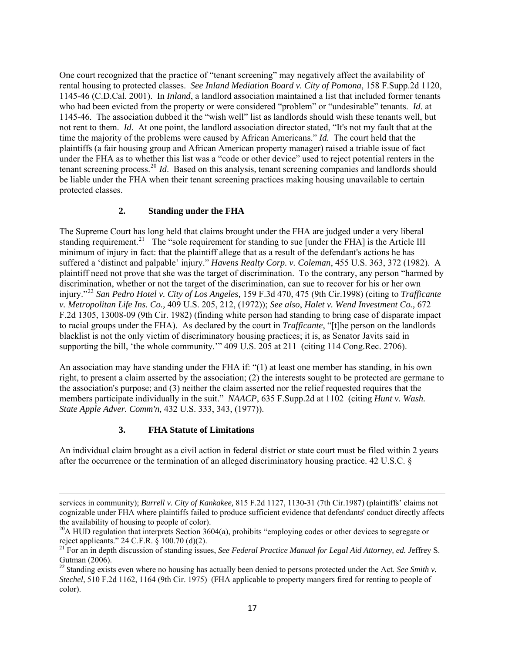One court recognized that the practice of "tenant screening" may negatively affect the availability of rental housing to protected classes. *See Inland Mediation Board v. City of Pomona*, 158 F.Supp.2d 1120, 1145-46 (C.D.Cal. 2001). In *Inland*, a landlord association maintained a list that included former tenants who had been evicted from the property or were considered "problem" or "undesirable" tenants. *Id*. at 1145-46. The association dubbed it the "wish well" list as landlords should wish these tenants well, but not rent to them. *Id*. At one point, the landlord association director stated, "It's not my fault that at the time the majority of the problems were caused by African Americans." *Id.* The court held that the plaintiffs (a fair housing group and African American property manager) raised a triable issue of fact under the FHA as to whether this list was a "code or other device" used to reject potential renters in the tenant screening process.<sup>[20](#page-16-0)</sup> *Id*. Based on this analysis, tenant screening companies and landlords should be liable under the FHA when their tenant screening practices making housing unavailable to certain protected classes.

# **2. Standing under the FHA**

The Supreme Court has long held that claims brought under the FHA are judged under a very liberal standing requirement.<sup>[21](#page-16-1)</sup> The "sole requirement for standing to sue funder the FHA] is the Article III minimum of injury in fact: that the plaintiff allege that as a result of the defendant's actions he has suffered a 'distinct and palpable' injury." *Havens Realty Corp. v. Coleman*, 455 U.S. 363, 372 (1982). A plaintiff need not prove that she was the target of discrimination. To the contrary, any person "harmed by discrimination, whether or not the target of the discrimination, can sue to recover for his or her own injury."[22](#page-16-2) *San Pedro Hotel v. City of Los Angeles,* 159 F.3d 470, 475 (9th Cir.1998) (citing to *Trafficante v. Metropolitan Life Ins. Co.,* 409 U.S. 205, 212, (1972)); *See also*, *Halet v. Wend Investment Co.,* 672 F.2d 1305, 13008-09 (9th Cir. 1982) (finding white person had standing to bring case of disparate impact to racial groups under the FHA). As declared by the court in *Trafficante*, "[t]he person on the landlords blacklist is not the only victim of discriminatory housing practices; it is, as Senator Javits said in supporting the bill, 'the whole community.'" 409 U.S. 205 at 211 (citing 114 Cong.Rec. 2706).

An association may have standing under the FHA if: "(1) at least one member has standing, in his own right, to present a claim asserted by the association; (2) the interests sought to be protected are germane to the association's purpose; and (3) neither the claim asserted nor the relief requested requires that the members participate individually in the suit." *NAACP*, 635 F.Supp.2d at 1102 (citing *[Hunt v. Wash.](http://web2.westlaw.com/find/default.wl?tf=-1&rs=WLW10.06&serialnum=1977118827&fn=_top&sv=Split&tc=-1&findtype=Y&ordoc=2019380845&mt=Washington&db=708&utid=1&vr=2.0&rp=%2ffind%2fdefault.wl&pbc=9FCECB9A)  [State Apple Adver. Comm'n,](http://web2.westlaw.com/find/default.wl?tf=-1&rs=WLW10.06&serialnum=1977118827&fn=_top&sv=Split&tc=-1&findtype=Y&ordoc=2019380845&mt=Washington&db=708&utid=1&vr=2.0&rp=%2ffind%2fdefault.wl&pbc=9FCECB9A)* 432 U.S. 333, 343, (1977)).

#### **3. FHA Statute of Limitations**

An individual claim brought as a civil action in federal district or state court must be filed within 2 years after the occurrence or the termination of an alleged discriminatory housing practice. 42 U.S.C. §

<u> Andrewski politika (za obrazu pod predsjednika u predsjednika u predsjednika u predsjednika (za obrazu pod p</u>

services in community); *Burrell v. City of Kankakee,* 815 F.2d 1127, 1130-31 (7th Cir.1987) (plaintiffs' claims not cognizable under FHA where plaintiffs failed to produce sufficient evidence that defendants' conduct directly affects the availability of housing to people of color).

<span id="page-16-0"></span><sup>&</sup>lt;sup>20</sup>A HUD regulation that interprets Section 3604(a), prohibits "employing codes or other devices to segregate or reject applicants." 24 C.F.R. § 100.70 (d)(2).

<span id="page-16-1"></span><sup>21</sup> For an in depth discussion of standing issues, *See Federal Practice Manual for Legal Aid Attorney, ed. J*effrey S. Gutman (2006).

<span id="page-16-2"></span><sup>&</sup>lt;sup>22</sup> Standing exists even where no housing has actually been denied to persons protected under the Act. *See Smith v*. *Stechel,* 510 F.2d 1162, 1164 (9th Cir. 1975) (FHA applicable to property mangers fired for renting to people of color).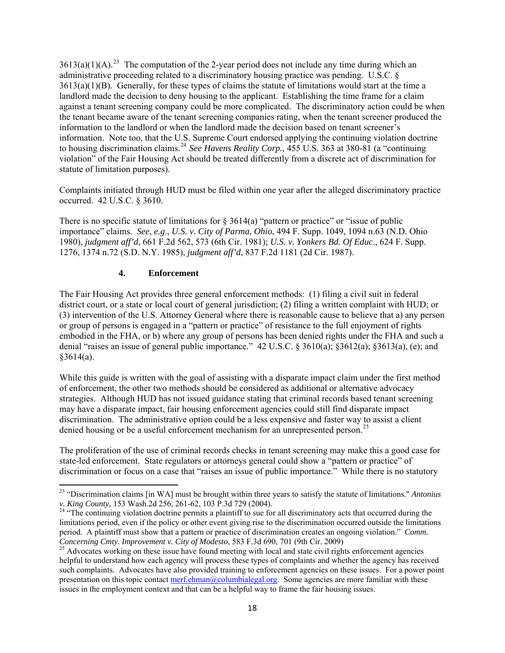$3613(a)(1)(A).^{23}$  $3613(a)(1)(A).^{23}$  $3613(a)(1)(A).^{23}$  The computation of the 2-year period does not include any time during which an administrative proceeding related to a discriminatory housing practice was pending. U.S.C. § 3613(a)(1)(B)*.* Generally, for these types of claims the statute of limitations would start at the time a landlord made the decision to deny housing to the applicant. Establishing the time frame for a claim against a tenant screening company could be more complicated. The discriminatory action could be when the tenant became aware of the tenant screening companies rating, when the tenant screener produced the information to the landlord or when the landlord made the decision based on tenant screener's information. Note too, that the U.S. Supreme Court endorsed applying the continuing violation doctrine to housing discrimination claims.[24](#page-17-1) *See Havens Reality Corp.,* 455 U.S. 363 at 380-81 (a "continuing violation" of the Fair Housing Act should be treated differently from a discrete act of discrimination for statute of limitation purposes).

Complaints initiated through HUD must be filed within one year after the alleged discriminatory practice occurred. 42 U.S.C. § 3610.

There is no specific statute of limitations for  $\S$  3614(a) "pattern or practice" or "issue of public importance" claims. *See*, *e.g*., *U.S. v. City of Parma*, *Ohio*, 494 F. Supp. 1049, 1094 n.63 (N.D. Ohio 1980), *judgment aff'd*, 661 F.2d 562, 573 (6th Cir. 1981); *U.S. v. Yonkers Bd. Of Educ*., 624 F. Supp. 1276, 1374 n.72 (S.D. N.Y. 1985), *judgment aff'd*, 837 F.2d 1181 (2d Cir. 1987).

#### **4. Enforcement**

The Fair Housing Act provides three general enforcement methods: (1) filing a civil suit in federal district court, or a state or local court of general jurisdiction; (2) filing a written complaint with HUD; or (3) intervention of the U.S. Attorney General where there is reasonable cause to believe that a) any person or group of persons is engaged in a "pattern or practice" of resistance to the full enjoyment of rights embodied in the FHA, or b) where any group of persons has been denied rights under the FHA and such a denial "raises an issue of general public importance." 42 U.S.C. § 3610(a); §3612(a); §3613(a), (e); and  $§3614(a).$ 

While this guide is written with the goal of assisting with a disparate impact claim under the first method of enforcement, the other two methods should be considered as additional or alternative advocacy strategies. Although HUD has not issued guidance stating that criminal records based tenant screening may have a disparate impact, fair housing enforcement agencies could still find disparate impact discrimination. The administrative option could be a less expensive and faster way to assist a client denied housing or be a useful enforcement mechanism for an unrepresented person.<sup>[25](#page-17-2)</sup>

The proliferation of the use of criminal records checks in tenant screening may make this a good case for state-led enforcement. State regulators or attorneys general could show a "pattern or practice" of discrimination or focus on a case that "raises an issue of public importance." While there is no statutory

<span id="page-17-0"></span><sup>&</sup>lt;sup>23</sup> "Discrimination claims [in WA] must be brought within three years to satisfy the statute of limitations." *Antonius v. King County*, 153 Wash.2d 256, 261-62, 103 P.3d 729 (2004).

<span id="page-17-1"></span><sup>&</sup>lt;sup>[24](http://web2.westlaw.com/find/default.wl?tf=-1&rs=WLW10.06&serialnum=2005870324&fn=_top&sv=Split&tc=-1&findtype=Y&ordoc=2017439888&mt=Washington&stid=%7b25d89f16-8b75-4301-ad9a-312221e753dd%7d&db=4645&vr=2.0&rp=%2ffind%2fdefault.wl&pbc=56E2DD0F)</sup> "The continuing violation doctrine permits a plaintiff to sue for all discriminatory acts that occurred during the limitations period, even if the policy or other event giving rise to the discrimination occurred outside the limitations period. A plaintiff must show that a pattern or practice of discrimination creates an ongoing violation." *Comm.* 

<span id="page-17-2"></span>*Concerning Cmty. Improvement v. City of Modesto*, 583 F.3d 690, 701 (9th Cir. 2009)<br><sup>25</sup> Advocates working on these issue have found meeting with local and state civil rights enforcement agencies helpful to understand how each agency will process these types of complaints and whether the agency has received such complaints. Advocates have also provided training to enforcement agencies on these issues. For a power point presentation on this topic contact [merf.ehman@columbialegal.org](mailto:merf.ehman@columbialegal.org). Some agencies are more familiar with these issues in the employment context and that can be a helpful way to frame the fair housing issues.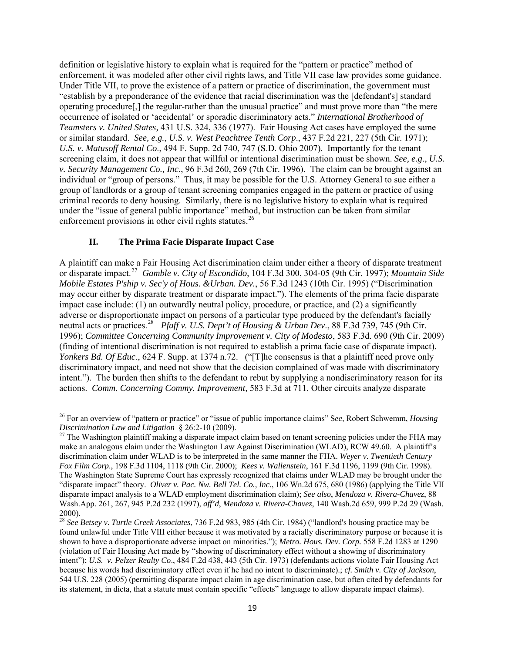definition or legislative history to explain what is required for the "pattern or practice" method of enforcement, it was modeled after other civil rights laws, and Title VII case law provides some guidance. Under Title VII, to prove the existence of a pattern or practice of discrimination, the government must "establish by a preponderance of the evidence that racial discrimination was the [defendant's] standard operating procedure[,] the regular-rather than the unusual practice" and must prove more than "the mere occurrence of isolated or 'accidental' or sporadic discriminatory acts." *International Brotherhood of Teamsters v. United States,* 431 U.S. 324, 336 (1977). Fair Housing Act cases have employed the same or similar standard. *See, e.g.*, *U.S. v. West Peachtree Tenth Corp*., 437 F.2d 221, 227 (5th Cir. 1971); *U.S. v. Matusoff Rental Co*[., 494 F. Supp. 2d 740, 747 \(S.D. Ohio 2007\).](http://web2.westlaw.com/find/default.wl?tf=-1&rs=WLW9.09&serialnum=2011887724&fn=_top&sv=Split&tc=-1&pbc=FF4AAC14&ordoc=0289511478&findtype=Y&db=0004637&vr=2.0&rp=%2ffind%2fdefault.wl&mt=208) Importantly for the tenant screening claim, it does not appear that willful or intentional discrimination must be shown. *See, e.g*., *U.S. v. Security Management Co., Inc*., 96 F.3d 260, 269 (7th Cir. 1996). The claim can be brought against an individual or "group of persons." Thus, it may be possible for the U.S. Attorney General to sue either a group of landlords or a group of tenant screening companies engaged in the pattern or practice of using criminal records to deny housing. Similarly, there is no legislative history to explain what is required under the "issue of general public importance" method, but instruction can be taken from similar enforcement provisions in other civil rights statutes. $^{26}$  $^{26}$  $^{26}$ 

#### **II. The Prima Facie Disparate Impact Case**

A plaintiff can make a Fair Housing Act discrimination claim under either a theory of disparate treatment or disparate impact.[27](#page-18-1) *Gamble v. City of Escondido*, 104 F.3d 300, 304-05 (9th Cir. 1997); *Mountain Side Mobile Estates P'ship v. Sec'y of Hous. &Urban. Dev.*, 56 F.3d 1243 (10th Cir. 1995) ("Discrimination may occur either by disparate treatment or disparate impact."). The elements of the prima facie disparate impact case include: (1) an outwardly neutral policy, procedure, or practice, and (2) a significantly adverse or disproportionate impact on persons of a particular type produced by the defendant's facially neutral acts or practices.<sup>[28](#page-18-2)</sup> *Pfaff v. U.S. Dept't of Housing & Urban Dev.*, 88 F.3d 739, 745 (9th Cir. 1996); *Committee Concerning Community Improvement v. City of Modesto*, 583 F.3d. 690 (9th Cir. 2009) (finding of intentional discrimination is not required to establish a prima facie case of disparate impact). *Yonkers Bd. Of Educ*., 624 F. Supp. at 1374 n.72. ("[T]he consensus is that a plaintiff need prove only discriminatory impact, and need not show that the decision complained of was made with discriminatory intent."). The burden then shifts to the defendant to rebut by supplying a nondiscriminatory reason for its actions. *Comm. Concerning Commy. Improvement,* 583 F.3d at 711. Other circuits analyze disparate

<span id="page-18-0"></span><sup>26</sup> For an overview of "pattern or practice" or "issue of public importance claims" S*ee*, Robert Schwemm, *Housing Discrimination Law and Litigation* § 26:2-10 (2009).<br><sup>27</sup> The Washington plaintiff making a disparate impact claim based on tenant screening policies under the FHA may

<span id="page-18-1"></span>make an analogous claim under the Washington Law Against Discrimination (WLAD), RCW 49.60. A plaintiff's discrimination claim under WLAD is to be interpreted in the same manner the FHA. *Weyer v. Twentieth Century Fox Film Corp*., 198 F.3d 1104, 1118 (9th Cir. 2000); *Kees v. Wallenstein*, 161 F.3d 1196, 1199 (9th Cir. 1998). The Washington State Supreme Court has expressly recognized that claims under WLAD may be brought under the "disparate impact" theory. *Oliver v. Pac. Nw. Bell Tel. Co., Inc*., 106 Wn.2d 675, 680 (1986) (applying the Title VII disparate impact analysis to a WLAD employment discrimination claim); *See also*, *Mendoza v. Rivera-Chavez*, 88 Wash.App. 261, 267, 945 P.2d 232 (1997), *aff'd*, *Mendoza v. Rivera-Chavez*, 140 Wash.2d 659, 999 P.2d 29 (Wash. 2000).

<span id="page-18-2"></span><sup>28</sup> *See Betsey v. Turtle Creek Associates*, 736 F.2d 983, 985 (4th Cir. 1984) ("landlord's housing practice may be found unlawful under Title VIII either because it was motivated by a racially discriminatory purpose or because it is shown to have a disproportionate adverse impact on minorities."); *Metro. Hous. Dev. Corp.* 558 F.2d 1283 at 1290 (violation of Fair Housing Act made by "showing of discriminatory effect without a showing of discriminatory intent"); *U.S. v. Pelzer Realty Co*., 484 F.2d 438, 443 (5th Cir. 1973) (defendants actions violate Fair Housing Act because his words had discriminatory effect even if he had no intent to discriminate).; *cf. Smith v. City of Jackson*, 544 U.S. 228 (2005) (permitting disparate impact claim in age discrimination case, but often cited by defendants for its statement, in dicta, that a statute must contain specific "effects" language to allow disparate impact claims).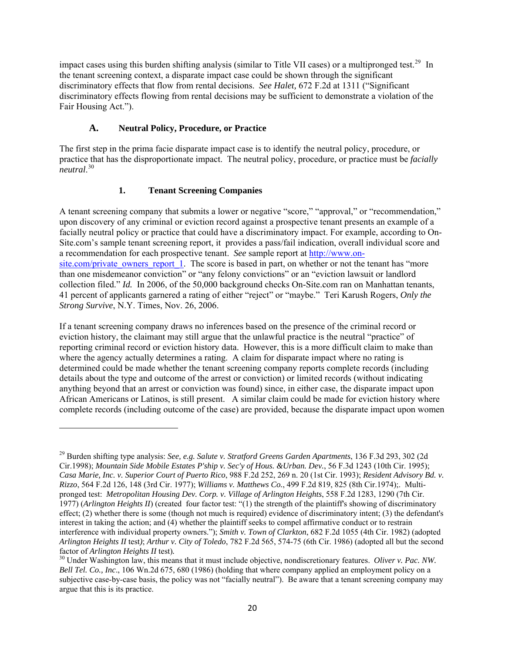impact cases using this burden shifting analysis (similar to Title VII cases) or a multipronged test.<sup>[29](#page-19-0)</sup> In the tenant screening context, a disparate impact case could be shown through the significant discriminatory effects that flow from rental decisions. *See Halet,* 672 F.2d at 1311 ("Significant discriminatory effects flowing from rental decisions may be sufficient to demonstrate a violation of the Fair Housing Act.").

# **A. Neutral Policy, Procedure, or Practice**

The first step in the prima facie disparate impact case is to identify the neutral policy, procedure, or practice that has the disproportionate impact. The neutral policy, procedure, or practice must be *facially neutral*. [30](#page-19-1)

# **1. Tenant Screening Companies**

A tenant screening company that submits a lower or negative "score," "approval," or "recommendation," upon discovery of any criminal or eviction record against a prospective tenant presents an example of a facially neutral policy or practice that could have a discriminatory impact. For example, according to On-Site.com's sample tenant screening report, it provides a pass/fail indication, overall individual score and a recommendation for each prospective tenant. *See* sample report at [http://www.on](http://www.on-site.com/private_owners_report_1)site.com/private owners report 1. The score is based in part, on whether or not the tenant has "more than one misdemeanor conviction" or "any felony convictions" or an "eviction lawsuit or landlord collection filed." *Id.* In 2006, of the 50,000 background checks On-Site.com ran on Manhattan tenants, 41 percent of applicants garnered a rating of either "reject" or "maybe." Teri Karush Rogers, *Only the Strong Survive*, N.Y. Times, Nov. 26, 2006.

If a tenant screening company draws no inferences based on the presence of the criminal record or eviction history, the claimant may still argue that the unlawful practice is the neutral "practice" of reporting criminal record or eviction history data. However, this is a more difficult claim to make than where the agency actually determines a rating. A claim for disparate impact where no rating is determined could be made whether the tenant screening company reports complete records (including details about the type and outcome of the arrest or conviction) or limited records (without indicating anything beyond that an arrest or conviction was found) since, in either case, the disparate impact upon African Americans or Latinos, is still present. A similar claim could be made for eviction history where complete records (including outcome of the case) are provided, because the disparate impact upon women

<span id="page-19-0"></span><sup>29</sup> Burden shifting type analysis: *See, e.g. Salute v. Stratford Greens Garden Apartments*, 136 F.3d 293, 302 (2d Cir.1998); *Mountain Side Mobile Estates P'ship v. Sec'y of Hous. &Urban. Dev.*, 56 F.3d 1243 (10th Cir. 1995); *Casa Marie, Inc. v. Superior Court of Puerto Rico*, 988 F.2d 252, 269 n. 20 (1st Cir. 1993); *Resident Advisory Bd. v. Rizzo*, 564 F.2d 126, 148 (3rd Cir. 1977); *Williams v. Matthews Co.*, 499 F.2d 819, 825 (8th Cir.1974);. Multipronged test: *Metropolitan Housing Dev. Corp. v. Village of Arlington Heights*, 558 F.2d 1283, 1290 (7th Cir. 1977) (*Arlington Heights II*) (created four factor test: "(1) the strength of the plaintiff's showing of discriminatory effect; (2) whether there is some (though not much is required) evidence of discriminatory intent; (3) the defendant's interest in taking the action; and (4) whether the plaintiff seeks to compel affirmative conduct or to restrain interference with individual property owners."); *Smith v. Town of Clarkton*, 682 F.2d 1055 (4th Cir. 1982) (adopted *Arlington Heights II* test*)*; *Arthur v. City of Toledo*, 782 F.2d 565, 574-75 (6th Cir. 1986) (adopted all but the second factor of *Arlington Heights II* test).<br><sup>30</sup> Under Washington law, this means that it must include objective, nondiscretionary features. *Oliver v. Pac. NW.* 

<span id="page-19-1"></span>*Bell Tel. Co., Inc*., 106 Wn.2d 675, 680 (1986) (holding that where company applied an employment policy on a subjective case-by-case basis, the policy was not "facially neutral"). Be aware that a tenant screening company may argue that this is its practice.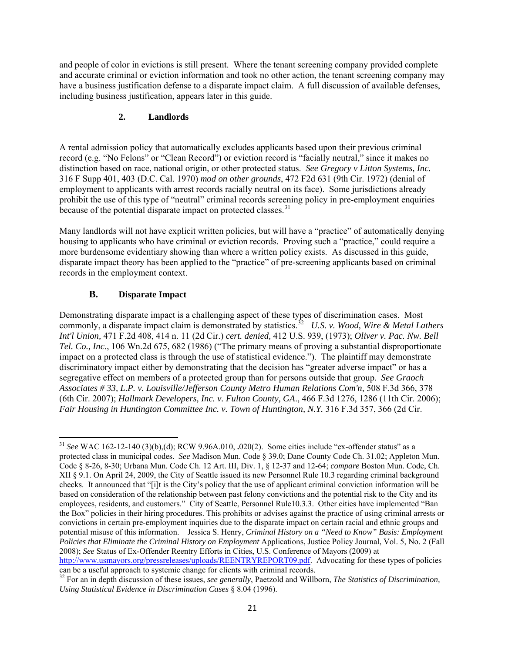and people of color in evictions is still present. Where the tenant screening company provided complete and accurate criminal or eviction information and took no other action, the tenant screening company may have a business justification defense to a disparate impact claim. A full discussion of available defenses, including business justification, appears later in this guide.

# **2. Landlords**

A rental admission policy that automatically excludes applicants based upon their previous criminal record (e.g. "No Felons" or "Clean Record") or eviction record is "facially neutral," since it makes no distinction based on race, national origin, or other protected status. *See Gregory v Litton Systems, Inc.* 316 F Supp 401, 403 (D.C. Cal. 1970) *mod on other grounds*, 472 F2d 631 (9th Cir. 1972) (denial of employment to applicants with arrest records racially neutral on its face). Some jurisdictions already prohibit the use of this type of "neutral" criminal records screening policy in pre-employment enquiries because of the potential disparate impact on protected classes.<sup>[31](#page-20-0)</sup>

Many landlords will not have explicit written policies, but will have a "practice" of automatically denying housing to applicants who have criminal or eviction records. Proving such a "practice," could require a more burdensome evidentiary showing than where a written policy exists. As discussed in this guide, disparate impact theory has been applied to the "practice" of pre-screening applicants based on criminal records in the employment context.

# **B. Disparate Impact**

Demonstrating disparate impact is a challenging aspect of these types of discrimination cases. Most commonly, a disparate impact claim is demonstrated by statistics.<sup>[32](#page-20-1)</sup> *U.S. v. Wood, Wire & Metal Lathers Int'l Union,* [471 F.2d 408, 414 n. 11 \(2d Cir.\)](https://web2.westlaw.com/find/default.wl?tf=-1&rs=WLW10.06&referencepositiontype=S&serialnum=1973108137&fn=_top&sv=Split&referenceposition=414&findtype=Y&tc=-1&ordoc=1986145958&mt=Washington&stid=%7b25d89f16-8b75-4301-ad9a-312221e753dd%7d&db=350&vr=2.0&rp=%2ffind%2fdefault.wl&pbc=B5599A90) *cert. denied,* [412 U.S. 939, \(1973\)](https://web2.westlaw.com/find/default.wl?tf=-1&rs=WLW10.06&serialnum=1973245805&fn=_top&sv=Split&tc=-1&findtype=Y&ordoc=1986145958&mt=Washington&stid=%7b25d89f16-8b75-4301-ad9a-312221e753dd%7d&db=708&vr=2.0&rp=%2ffind%2fdefault.wl&pbc=B5599A90); *Oliver v. Pac. Nw. Bell Tel. Co., Inc*., 106 Wn.2d 675, 682 (1986) ("The primary means of proving a substantial disproportionate impact on a protected class is through the use of statistical evidence."). The plaintiff may demonstrate discriminatory impact either by demonstrating that the decision has "greater adverse impact" or has a segregative effect on members of a protected group than for persons outside that group. *See Graoch Associates # 33, L.P. v. Louisville/Jefferson County Metro Human Relations Com'n,* 508 F.3d 366, 378 (6th Cir. 2007); *Hallmark Developers, Inc. v. Fulton County, GA*., 466 F.3d 1276, 1286 (11th Cir. 2006); *Fair Housing in Huntington Committee Inc. v. Town of Huntington, N.Y.* 316 F.3d 357, 366 (2d Cir.

<span id="page-20-0"></span> <sup>31</sup> *See* WAC 162-12-140 (3)(b),(d); RCW 9.96A.010, **.**020(2). Some cities include "ex-offender status" as a protected class in municipal codes. *See* Madison Mun. Code § 39.0; Dane County Code Ch. 31.02; Appleton Mun. Code § 8-26, 8-30; Urbana Mun. Code Ch. 12 Art. III, Div. 1, § 12-37 and 12-64; *compare* Boston Mun. Code, Ch. XII § 9.1. On April 24, 2009, the City of Seattle issued its new Personnel Rule 10.3 regarding criminal background checks. It announced that "[i]t is the City's policy that the use of applicant criminal conviction information will be based on consideration of the relationship between past felony convictions and the potential risk to the City and its employees, residents, and customers." City of Seattle, Personnel Rule10.3.3. Other cities have implemented "Ban the Box" policies in their hiring procedures. This prohibits or advises against the practice of using criminal arrests or convictions in certain pre-employment inquiries due to the disparate impact on certain racial and ethnic groups and potential misuse of this information. Jessica S. Henry, *Criminal History on a "Need to Know" Basis: Employment Policies that Eliminate the Criminal History on Employment Applications, Justice Policy Journal, Vol. 5, No. 2 (Fall* 2008); *See* Status of Ex-Offender Reentry Efforts in Cities, U.S. Conference of Mayors (2009) at

<http://www.usmayors.org/pressreleases/uploads/REENTRYREPORT09.pdf>. Advocating for these types of policies can be a useful approach to systemic change for clients with criminal records.

<span id="page-20-1"></span><sup>&</sup>lt;sup>32</sup> For an in depth discussion of these issues, *see generally*, Paetzold and Willborn, *The Statistics of Discrimination*, *Using Statistical Evidence in Discrimination Cases* § 8.04 (1996).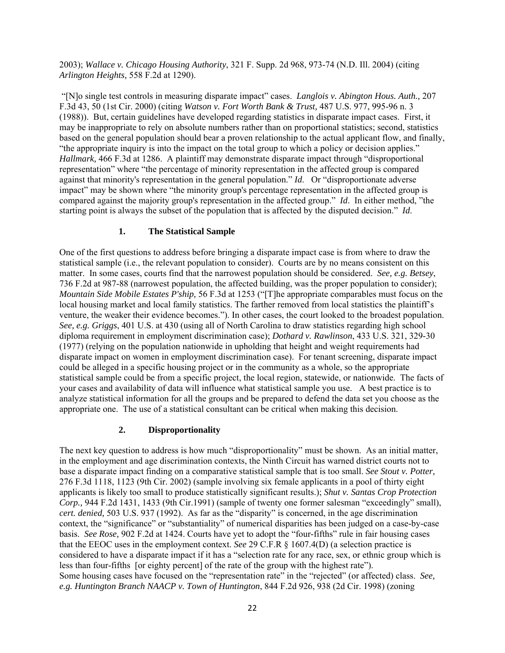2003); *Wallace v. Chicago Housing Authority*, 321 F. Supp. 2d 968, 973-74 (N.D. Ill. 2004) (citing *Arlington Heights,* 558 F.2d at 1290).

 "[N]o single test controls in measuring disparate impact" cases. *[Langlois v. Abington Hous. Auth.,](http://web2.westlaw.com/find/default.wl?tf=-1&serialnum=2000082036&rs=WLW9.08&referencepositiontype=S&ifm=NotSet&fn=_top&sv=Split&referenceposition=50&pbc=FC4C5173&tc=-1&ordoc=2010444793&findtype=Y&db=506&vr=2.0&rp=%2ffind%2fdefault.wl&mt=208)* 207 [F.3d 43, 50 \(1st Cir. 2000\)](http://web2.westlaw.com/find/default.wl?tf=-1&serialnum=2000082036&rs=WLW9.08&referencepositiontype=S&ifm=NotSet&fn=_top&sv=Split&referenceposition=50&pbc=FC4C5173&tc=-1&ordoc=2010444793&findtype=Y&db=506&vr=2.0&rp=%2ffind%2fdefault.wl&mt=208) (citing *Watson v. Fort Worth Bank & Trust,* 487 U.S. 977, 995-96 n. 3 (1988)). But, certain guidelines have developed regarding statistics in disparate impact cases. First, it may be inappropriate to rely on absolute numbers rather than on proportional statistics; second, statistics based on the general population should bear a proven relationship to the actual applicant flow, and finally, "the appropriate inquiry is into the impact on the total group to which a policy or decision applies." *Hallmark,* 466 F.3d at 1286. A plaintiff may demonstrate disparate impact through "disproportional representation" where "the percentage of minority representation in the affected group is compared against that minority's representation in the general population." *Id*. Or "disproportionate adverse impact" may be shown where "the minority group's percentage representation in the affected group is compared against the majority group's representation in the affected group." *Id*. In either method, "the starting point is always the subset of the population that is affected by the disputed decision." *Id*.

#### **1. The Statistical Sample**

One of the first questions to address before bringing a disparate impact case is from where to draw the statistical sample (i.e., the relevant population to consider). Courts are by no means consistent on this matter. In some cases, courts find that the narrowest population should be considered. *See, e.g. Betsey*, 736 F.2d at 987-88 (narrowest population, the affected building, was the proper population to consider); *Mountain Side Mobile Estates P'ship,* 56 F.3d at 1253 ("[T]he appropriate comparables must focus on the local housing market and local family statistics. The farther removed from local statistics the plaintiff's venture, the weaker their evidence becomes."). In other cases, the court looked to the broadest population. *See, e.g. Griggs*, 401 U.S. at 430 (using all of North Carolina to draw statistics regarding high school diploma requirement in employment discrimination case); *Dothard v. Rawlinson*, 433 U.S. 321, 329-30 (1977) (relying on the population nationwide in upholding that height and weight requirements had disparate impact on women in employment discrimination case). For tenant screening, disparate impact could be alleged in a specific housing project or in the community as a whole, so the appropriate statistical sample could be from a specific project, the local region, statewide, or nationwide. The facts of your cases and availability of data will influence what statistical sample you use. A best practice is to analyze statistical information for all the groups and be prepared to defend the data set you choose as the appropriate one. The use of a statistical consultant can be critical when making this decision.

#### **2. Disproportionality**

The next key question to address is how much "disproportionality" must be shown. As an initial matter, in the employment and age discrimination contexts, the Ninth Circuit has warned district courts not to base a disparate impact finding on a comparative statistical sample that is too small. *See Stout v. Potter,* 276 F.3d 1118, 1123 (9th Cir. 2002) (sample involving six female applicants in a pool of thirty eight applicants is likely too small to produce statistically significant results.); *Shut v. Santas Crop Protection Corp.,* 944 F.2d 1431, 1433 (9th Cir.1991) (sample of twenty one former salesman "exceedingly" small), *cert. denied,* 503 U.S. 937 (1992). As far as the "disparity" is concerned, in the age discrimination context, the "significance" or "substantiality" of numerical disparities has been judged on a case-by-case basis. *See Rose,* 902 F.2d at 1424. Courts have yet to adopt the "four-fifths" rule in fair housing cases that the EEOC uses in the employment context. *See* 29 C.F.R § 1607.4(D) (a selection practice is considered to have a disparate impact if it has a "selection rate for any race, sex, or ethnic group which is less than four-fifths [or eighty percent] of the rate of the group with the highest rate"). Some housing cases have focused on the "representation rate" in the "rejected" (or affected) class. *See, e.g. Huntington Branch NAACP v. Town of Huntington*, 844 F.2d 926, 938 (2d Cir. 1998) (zoning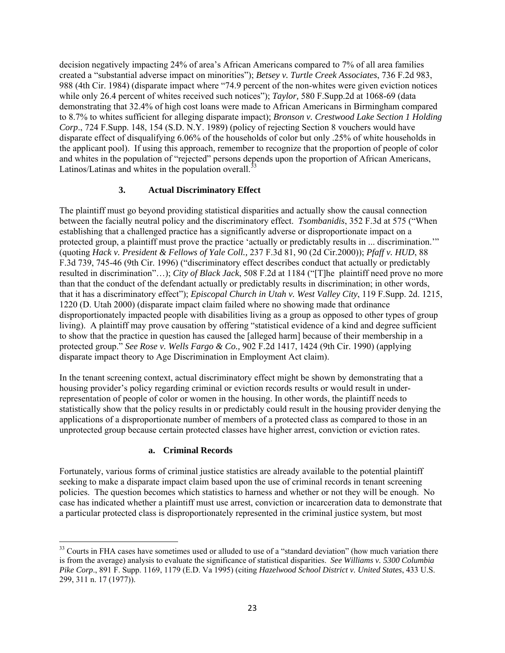decision negatively impacting 24% of area's African Americans compared to 7% of all area families created a "substantial adverse impact on minorities"); *Betsey v. Turtle Creek Associates*, 736 F.2d 983, 988 (4th Cir. 1984) (disparate impact where "74.9 percent of the non-whites were given eviction notices while only 26.4 percent of whites received such notices"); *Taylor*, 580 F.Supp.2d at 1068-69 (data demonstrating that 32.4% of high cost loans were made to African Americans in Birmingham compared to 8.7% to whites sufficient for alleging disparate impact); *Bronson v. Crestwood Lake Section 1 Holding Corp*., 724 F.Supp. 148, 154 (S.D. N.Y. 1989) (policy of rejecting Section 8 vouchers would have disparate effect of disqualifying 6.06% of the households of color but only .25% of white households in the applicant pool). If using this approach, remember to recognize that the proportion of people of color and whites in the population of "rejected" persons depends upon the proportion of African Americans, Latinos/Latinas and whites in the population overall. $33$ 

# **3. Actual Discriminatory Effect**

The plaintiff must go beyond providing statistical disparities and actually show the causal connection between the facially neutral policy and the discriminatory effect. *Tsombanidis*, 352 F.3d at 575 ("When establishing that a challenged practice has a significantly adverse or disproportionate impact on a protected group, a plaintiff must prove the practice 'actually or predictably results in ... discrimination.'" (quoting *[Hack v. President & Fellows of Yale Coll.,](https://web2.westlaw.com/find/default.wl?tf=-1&rs=WLW10.10&referencepositiontype=S&serialnum=2001044490&fn=_top&sv=Split&referenceposition=90&pbc=D318DC4A&tc=-1&ordoc=2003916792&findtype=Y&db=506&utid=1&vr=2.0&rp=%2ffind%2fdefault.wl&mt=Washington)* 237 F.3d 81, 90 (2d Cir.2000)); *Pfaff v. HUD*, 88 F.3d 739, 745-46 (9th Cir. 1996) ("discriminatory effect describes conduct that actually or predictably resulted in discrimination"…); *City of Black Jack*, 508 F.2d at 1184 ("[T]he plaintiff need prove no more than that the conduct of the defendant actually or predictably results in discrimination; in other words, that it has a discriminatory effect"); *Episcopal Church in Utah v. West Valley City*, 119 F.Supp. 2d. 1215, 1220 (D. Utah 2000) (disparate impact claim failed where no showing made that ordinance disproportionately impacted people with disabilities living as a group as opposed to other types of group living). A plaintiff may prove causation by offering "statistical evidence of a kind and degree sufficient to show that the practice in question has caused the [alleged harm] because of their membership in a protected group." *See Rose v. Wells Fargo & Co.,* 902 F.2d 1417, 1424 (9th Cir. 1990) (applying disparate impact theory to Age Discrimination in Employment Act claim).

In the tenant screening context, actual discriminatory effect might be shown by demonstrating that a housing provider's policy regarding criminal or eviction records results or would result in underrepresentation of people of color or women in the housing. In other words, the plaintiff needs to statistically show that the policy results in or predictably could result in the housing provider denying the applications of a disproportionate number of members of a protected class as compared to those in an unprotected group because certain protected classes have higher arrest, conviction or eviction rates.

#### **a. Criminal Records**

Fortunately, various forms of criminal justice statistics are already available to the potential plaintiff seeking to make a disparate impact claim based upon the use of criminal records in tenant screening policies. The question becomes which statistics to harness and whether or not they will be enough. No case has indicated whether a plaintiff must use arrest, conviction or incarceration data to demonstrate that a particular protected class is disproportionately represented in the criminal justice system, but most

<span id="page-22-0"></span><sup>&</sup>lt;sup>33</sup> Courts in FHA cases have sometimes used or alluded to use of a "standard deviation" (how much variation there is from the average) analysis to evaluate the significance of statistical disparities. *See Williams v. 5300 Columbia Pike Corp*., 891 F. Supp. 1169, 1179 (E.D. Va 1995) (citing *Hazelwood School District v. United States*, 433 U.S. 299, 311 n. 17 (1977)).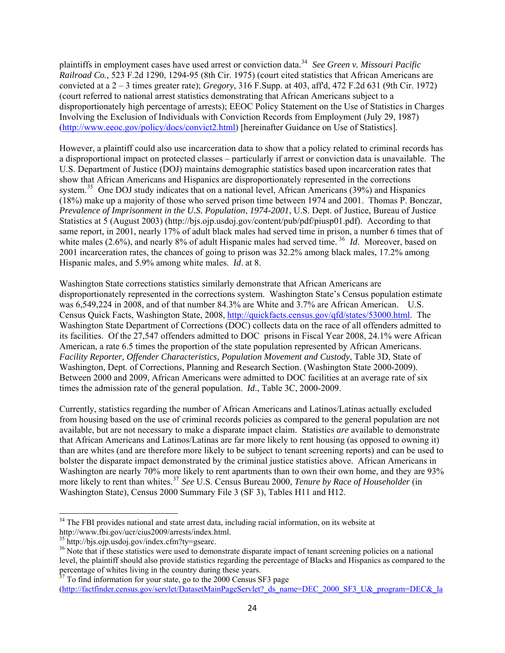plaintiffs in employment cases have used arrest or conviction data.[34](#page-23-0) *See Green v. Missouri Pacific Railroad Co.*, 523 F.2d 1290, 1294-95 (8th Cir. 1975) (court cited statistics that African Americans are convicted at a 2 – 3 times greater rate); *Gregory*[, 316 F.Supp. at 403,](https://web2.westlaw.com/find/default.wl?tf=-1&rs=WLW10.06&referencepositiontype=S&serialnum=1970114526&fn=_top&sv=Split&referenceposition=403&findtype=Y&tc=-1&ordoc=1975142335&mt=Washington&db=345&utid=1&vr=2.0&rp=%2ffind%2fdefault.wl&pbc=9666CED0) aff'd, [472 F.2d 631 \(9th Cir. 1972\)](https://web2.westlaw.com/find/default.wl?tf=-1&rs=WLW10.06&serialnum=1972113492&fn=_top&sv=Split&tc=-1&findtype=Y&ordoc=1975142335&mt=Washington&db=350&utid=1&vr=2.0&rp=%2ffind%2fdefault.wl&pbc=9666CED0) (court referred to national arrest statistics demonstrating that African Americans subject to a disproportionately high percentage of arrests); EEOC Policy Statement on the Use of Statistics in Charges Involving the Exclusion of Individuals with Conviction Records from Employment (July 29, 1987) ([http://www.eeoc.gov/policy/docs/convict2.html\)](http://www.eeoc.gov/policy/docs/convict2.html) [hereinafter Guidance on Use of Statistics].

However, a plaintiff could also use incarceration data to show that a policy related to criminal records has a disproportional impact on protected classes – particularly if arrest or conviction data is unavailable. The U.S. Department of Justice (DOJ) maintains demographic statistics based upon incarceration rates that show that African Americans and Hispanics are disproportionately represented in the corrections system.<sup>[35](#page-23-1)</sup> One DOJ study indicates that on a national level, African Americans (39%) and Hispanics (18%) make up a majority of those who served prison time between 1974 and 2001. Thomas P. Bonczar, *Prevalence of Imprisonment in the U.S. Population*, *1974-2001*, U.S. Dept. of Justice, Bureau of Justice Statistics at 5 (August 2003) (http://bjs.ojp.usdoj.gov/content/pub/pdf/piusp01.pdf). According to that same report, in 2001, nearly 17% of adult black males had served time in prison, a number 6 times that of white males (2.6%), and nearly 8% of adult Hispanic males had served time. <sup>[36](#page-23-2)</sup> *Id.* Moreover, based on 2001 incarceration rates, the chances of going to prison was 32.2% among black males, 17.2% among Hispanic males, and 5.9% among white males. *Id*. at 8.

Washington State corrections statistics similarly demonstrate that African Americans are disproportionately represented in the corrections system. Washington State's Census population estimate was 6,549,224 in 2008, and of that number 84.3% are White and 3.7% are African American. U.S. Census Quick Facts, Washington State, 2008, <http://quickfacts.census.gov/qfd/states/53000.html>. The Washington State Department of Corrections (DOC) collects data on the race of all offenders admitted to its facilities. Of the 27,547 offenders admitted to DOC prisons in Fiscal Year 2008, 24.1% were African American, a rate 6.5 times the proportion of the state population represented by African Americans. *Facility Reporter, Offender Characteristics, Population Movement and Custody*, Table 3D, State of Washington, Dept. of Corrections, Planning and Research Section. (Washington State 2000-2009). Between 2000 and 2009, African Americans were admitted to DOC facilities at an average rate of six times the admission rate of the general population. *Id*., Table 3C, 2000-2009.

Currently, statistics regarding the number of African Americans and Latinos/Latinas actually excluded from housing based on the use of criminal records policies as compared to the general population are not available, but are not necessary to make a disparate impact claim. Statistics *are* available to demonstrate that African Americans and Latinos/Latinas are far more likely to rent housing (as opposed to owning it) than are whites (and are therefore more likely to be subject to tenant screening reports) and can be used to bolster the disparate impact demonstrated by the criminal justice statistics above. African Americans in Washington are nearly 70% more likely to rent apartments than to own their own home, and they are 93% more likely to rent than whites.[37](#page-23-3) *See* U.S. Census Bureau 2000, *Tenure by Race of Householder* (in Washington State), Census 2000 Summary File 3 (SF 3), Tables H11 and H12.

<span id="page-23-0"></span><sup>&</sup>lt;sup>34</sup> The FBI provides national and state arrest data, including racial information, on its website at http://www.fbi.gov/ucr/cius2009/arrests/index.html.

<span id="page-23-1"></span><sup>35</sup> http://bjs.ojp.usdoj.gov/index.cfm?ty=gsearc.

<span id="page-23-2"></span><sup>&</sup>lt;sup>36</sup> Note that if these statistics were used to demonstrate disparate impact of tenant screening policies on a national level, the plaintiff should also provide statistics regarding the percentage of Blacks and Hispanics as compared to the percentage of whites living in the country during these years.

<span id="page-23-3"></span> $37$  To find information for your state, go to the 2000 Census SF3 page [\(http://factfinder.census.gov/servlet/DatasetMainPageServlet?\\_ds\\_name=DEC\\_2000\\_SF3\\_U&\\_program=DEC&\\_la](http://factfinder.census.gov/servlet/DatasetMainPageServlet?_ds_name=DEC_2000_SF3_U&_program=DEC&_lang=en)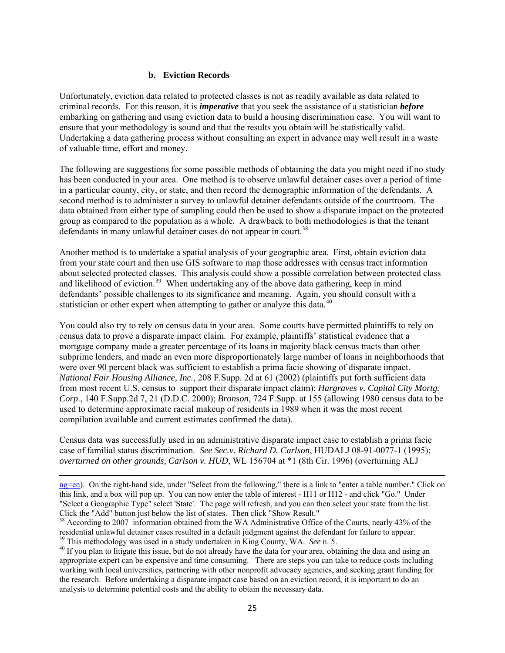# **b. Eviction Records**

Unfortunately, eviction data related to protected classes is not as readily available as data related to criminal records. For this reason, it is *imperative* that you seek the assistance of a statistician *before* embarking on gathering and using eviction data to build a housing discrimination case. You will want to ensure that your methodology is sound and that the results you obtain will be statistically valid. Undertaking a data gathering process without consulting an expert in advance may well result in a waste of valuable time, effort and money.

The following are suggestions for some possible methods of obtaining the data you might need if no study has been conducted in your area. One method is to observe unlawful detainer cases over a period of time in a particular county, city, or state, and then record the demographic information of the defendants. A second method is to administer a survey to unlawful detainer defendants outside of the courtroom. The data obtained from either type of sampling could then be used to show a disparate impact on the protected group as compared to the population as a whole. A drawback to both methodologies is that the tenant defendants in many unlawful detainer cases do not appear in court.<sup>[38](#page-24-0)</sup>

Another method is to undertake a spatial analysis of your geographic area. First, obtain eviction data from your state court and then use GIS software to map those addresses with census tract information about selected protected classes. This analysis could show a possible correlation between protected class and likelihood of eviction.<sup>[39](#page-24-1)</sup> When undertaking any of the above data gathering, keep in mind defendants' possible challenges to its significance and meaning. Again, you should consult with a statistician or other expert when attempting to gather or analyze this data.<sup>[40](#page-24-2)</sup>

You could also try to rely on census data in your area. Some courts have permitted plaintiffs to rely on census data to prove a disparate impact claim. For example, plaintiffs' statistical evidence that a mortgage company made a greater percentage of its loans in majority black census tracts than other subprime lenders, and made an even more disproportionately large number of loans in neighborhoods that were over 90 percent black was sufficient to establish a prima facie showing of disparate impact. *National Fair Housing Alliance, Inc.*, 208 F.Supp. 2d at 61 (2002) (plaintiffs put forth sufficient data from most recent U.S. census to support their disparate impact claim); *Hargraves v. Capital City Mortg. Corp*., 140 F.Supp.2d 7, 21 (D.D.C. 2000); *Bronson*, 724 F.Supp. at 155 (allowing 1980 census data to be used to determine approximate racial makeup of residents in 1989 when it was the most recent compilation available and current estimates confirmed the data).

Census data was successfully used in an administrative disparate impact case to establish a prima facie case of familial status discrimination. *See Sec.v. Richard D. Carlson*, HUDALJ 08-91-0077-1 (1995); *overturned on other grounds, Carlson v. HUD*, WL 156704 at \*1 (8th Cir. 1996) (overturning ALJ

<u> 1989 - Johann Stein, marwolaethau a gweledydd a ganlad y ganlad y ganlad y ganlad y ganlad y ganlad y ganlad</u>

[ng=en](http://factfinder.census.gov/servlet/DatasetMainPageServlet?_ds_name=DEC_2000_SF3_U&_program=DEC&_lang=en)). On the right-hand side, under "Select from the following," there is a link to "enter a table number." Click on this link, and a box will pop up. You can now enter the table of interest - H11 or H12 - and click "Go." Under "Select a Geographic Type" select 'State'. The page will refresh, and you can then select your state from the list. Click the "Add" button just below the list of states. Then click "Show Result."

<span id="page-24-0"></span><sup>&</sup>lt;sup>38</sup> According to 2007 information obtained from the WA Administrative Office of the Courts, nearly 43% of the residential unlawful detainer cases resulted in a default judgment against the defendant for failure to appear.

<span id="page-24-2"></span><span id="page-24-1"></span> $^{39}$  This methodology was used in a study undertaken in King County, WA. *See* n. 5.<br><sup>40</sup> If you plan to litigate this issue, but do not already have the data for your area, obtaining the data and using an appropriate expert can be expensive and time consuming. There are steps you can take to reduce costs including working with local universities, partnering with other nonprofit advocacy agencies, and seeking grant funding for the research. Before undertaking a disparate impact case based on an eviction record, it is important to do an analysis to determine potential costs and the ability to obtain the necessary data.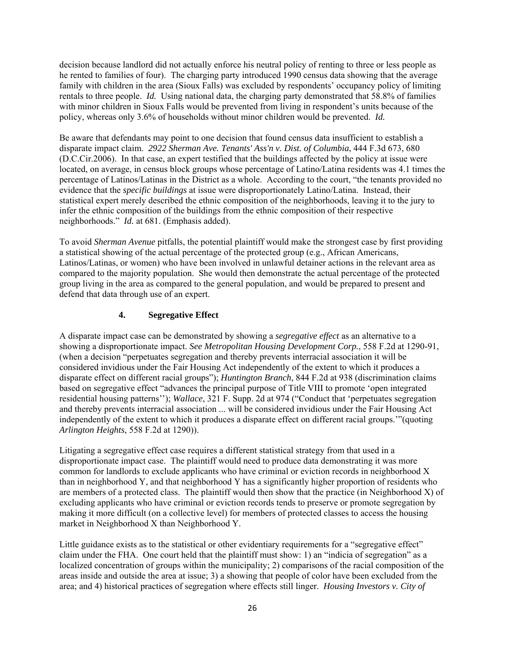decision because landlord did not actually enforce his neutral policy of renting to three or less people as he rented to families of four). The charging party introduced 1990 census data showing that the average family with children in the area (Sioux Falls) was excluded by respondents' occupancy policy of limiting rentals to three people. *Id.* Using national data, the charging party demonstrated that 58.8% of families with minor children in Sioux Falls would be prevented from living in respondent's units because of the policy, whereas only 3.6% of households without minor children would be prevented. *Id.*

Be aware that defendants may point to one decision that found census data insufficient to establish a disparate impact claim. *2922 Sherman Ave. Tenants' Ass'n v. Dist. of Columbia*, 444 F.3d 673, 680 (D.C.Cir.2006). In that case, an expert testified that the buildings affected by the policy at issue were located, on average, in census block groups whose percentage of Latino/Latina residents was 4.1 times the percentage of Latinos/Latinas in the District as a whole. According to the court, "the tenants provided no evidence that the *specific buildings* at issue were disproportionately Latino/Latina. Instead, their statistical expert merely described the ethnic composition of the neighborhoods, leaving it to the jury to infer the ethnic composition of the buildings from the ethnic composition of their respective neighborhoods." *Id.* at 681. (Emphasis added).

To avoid *Sherman Avenue* pitfalls, the potential plaintiff would make the strongest case by first providing a statistical showing of the actual percentage of the protected group (e.g., African Americans, Latinos/Latinas, or women) who have been involved in unlawful detainer actions in the relevant area as compared to the majority population. She would then demonstrate the actual percentage of the protected group living in the area as compared to the general population, and would be prepared to present and defend that data through use of an expert.

# **4. Segregative Effect**

A disparate impact case can be demonstrated by showing a *segregative effect* as an alternative to a showing a disproportionate impact. *See Metropolitan Housing Development Corp.*, 558 F.2d at 1290-91, (when a decision "perpetuates segregation and thereby prevents interracial association it will be considered invidious under the Fair Housing Act independently of the extent to which it produces a disparate effect on different racial groups"); *Huntington Branch*, 844 F.2d at 938 (discrimination claims based on segregative effect "advances the principal purpose of Title VIII to promote 'open integrated residential housing patterns''); *Wallace*, 321 F. Supp. 2d at 974 ("Conduct that 'perpetuates segregation and thereby prevents interracial association ... will be considered invidious under the Fair Housing Act independently of the extent to which it produces a disparate effect on different racial groups.'"(quoting *Arlington Heights*, 558 F.2d at 1290)).

Litigating a segregative effect case requires a different statistical strategy from that used in a disproportionate impact case. The plaintiff would need to produce data demonstrating it was more common for landlords to exclude applicants who have criminal or eviction records in neighborhood X than in neighborhood Y, and that neighborhood Y has a significantly higher proportion of residents who are members of a protected class. The plaintiff would then show that the practice (in Neighborhood X) of excluding applicants who have criminal or eviction records tends to preserve or promote segregation by making it more difficult (on a collective level) for members of protected classes to access the housing market in Neighborhood X than Neighborhood Y.

Little guidance exists as to the statistical or other evidentiary requirements for a "segregative effect" claim under the FHA. One court held that the plaintiff must show: 1) an "indicia of segregation" as a localized concentration of groups within the municipality; 2) comparisons of the racial composition of the areas inside and outside the area at issue; 3) a showing that people of color have been excluded from the area; and 4) historical practices of segregation where effects still linger. *Housing Investors v. City of*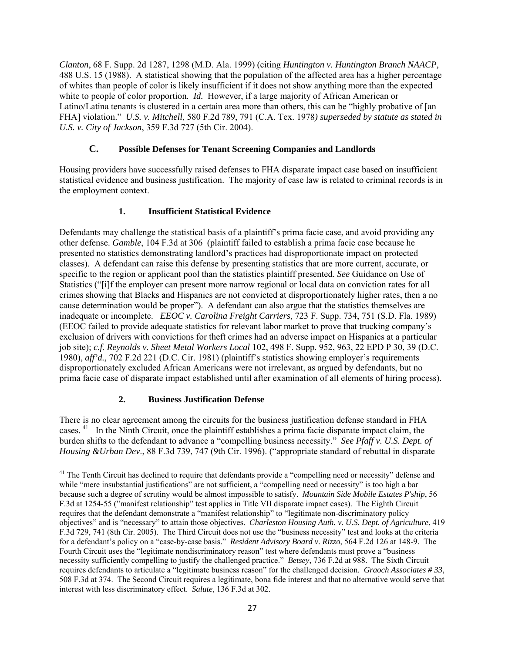*Clanton*, 68 F. Supp. 2d 1287, 1298 (M.D. Ala. 1999) (citing *Huntington v. Huntington Branch NAACP,* 488 U.S. 15 (1988). A statistical showing that the population of the affected area has a higher percentage of whites than people of color is likely insufficient if it does not show anything more than the expected white to people of color proportion. *Id.* However, if a large majority of African American or Latino/Latina tenants is clustered in a certain area more than others, this can be "highly probative of [an FHA] violation." *U.S. v. Mitchell*, 580 F.2d 789, 791 (C.A. Tex. 1978*) superseded by statute as stated in U.S. v. City of Jackson*, 359 F.3d 727 (5th Cir. 2004).

# **C. Possible Defenses for Tenant Screening Companies and Landlords**

Housing providers have successfully raised defenses to FHA disparate impact case based on insufficient statistical evidence and business justification. The majority of case law is related to criminal records is in the employment context.

# **1. Insufficient Statistical Evidence**

Defendants may challenge the statistical basis of a plaintiff's prima facie case, and avoid providing any other defense. *Gamble*, 104 F.3d at 306 (plaintiff failed to establish a prima facie case because he presented no statistics demonstrating landlord's practices had disproportionate impact on protected classes). A defendant can raise this defense by presenting statistics that are more current, accurate, or specific to the region or applicant pool than the statistics plaintiff presented. *See* Guidance on Use of Statistics ("[i]f the employer can present more narrow regional or local data on conviction rates for all crimes showing that Blacks and Hispanics are not convicted at disproportionately higher rates, then a no cause determination would be proper"). A defendant can also argue that the statistics themselves are inadequate or incomplete. *EEOC v. Carolina Freight Carriers*, 723 F. Supp. 734, 751 (S.D. Fla. 1989) (EEOC failed to provide adequate statistics for relevant labor market to prove that trucking company's exclusion of drivers with convictions for theft crimes had an adverse impact on Hispanics at a particular job site); *c.f. Reynolds v. Sheet Metal Workers Local* 102, 498 F. Supp. 952, 963, 22 EPD P 30, 39 (D.C. 1980), *aff'd.,* 702 F.2d 221 (D.C. Cir. 1981) (plaintiff's statistics showing employer's requirements disproportionately excluded African Americans were not irrelevant, as argued by defendants, but no prima facie case of disparate impact established until after examination of all elements of hiring process).

#### **2. Business Justification Defense**

There is no clear agreement among the circuits for the business justification defense standard in FHA cases. [41](#page-26-0) In the Ninth Circuit, once the plaintiff establishes a prima facie disparate impact claim, the burden shifts to the defendant to advance a "compelling business necessity." *See Pfaff v. U.S. Dept. of Housing &Urban Dev*., 88 F.3d 739, 747 (9th Cir. 1996). ("appropriate standard of rebuttal in disparate

<span id="page-26-0"></span><sup>&</sup>lt;sup>41</sup> The Tenth Circuit has declined to require that defendants provide a "compelling need or necessity" defense and while "mere insubstantial justifications" are not sufficient, a "compelling need or necessity" is too high a bar because such a degree of scrutiny would be almost impossible to satisfy. *Mountain Side Mobile Estates P'ship*, 56 F.3d at 1254-55 ("manifest relationship" test applies in Title VII disparate impact cases). The Eighth Circuit requires that the defendant demonstrate a "manifest relationship" to "legitimate non-discriminatory policy objectives" and is "necessary" to attain those objectives. *Charleston Housing Auth. v. U.S. Dept. of Agriculture*, 419 F.3d 729, 741 (8th Cir. 2005). The Third Circuit does not use the "business necessity" test and looks at the criteria for a defendant's policy on a "case-by-case basis." *Resident Advisory Board v. Rizzo*, 564 F.2d 126 at 148-9. The Fourth Circuit uses the "legitimate nondiscriminatory reason" test where defendants must prove a "business necessity sufficiently compelling to justify the challenged practice." *Betsey*, 736 F.2d at 988. The Sixth Circuit requires defendants to articulate a "legitimate business reason" for the challenged decision. *Graoch Associates # 33*, 508 F.3d at 374. The Second Circuit requires a legitimate, bona fide interest and that no alternative would serve that interest with less discriminatory effect. *Salute*, 136 F.3d at 302.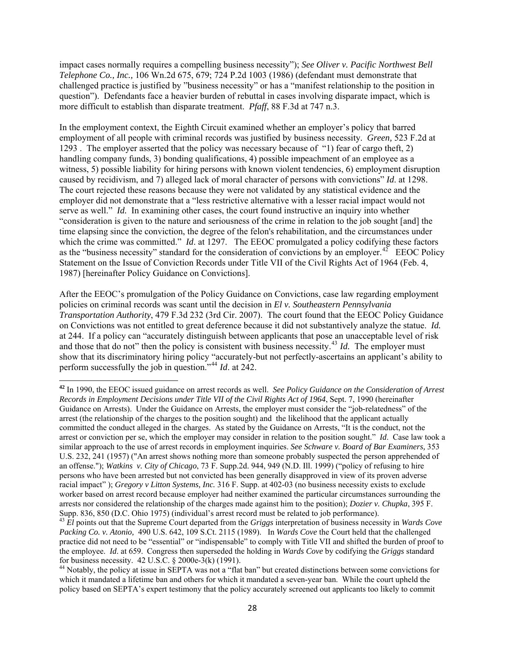impact cases normally requires a compelling business necessity"); *See Oliver v. Pacific Northwest Bell Telephone Co., Inc.,* 106 Wn.2d 675, 679; 724 P.2d 1003 (1986) (defendant must demonstrate that challenged practice is justified by "business necessity" or has a "manifest relationship to the position in question"). Defendants face a heavier burden of rebuttal in cases involving disparate impact, which is more difficult to establish than disparate treatment. *Pfaff*, 88 F.3d at 747 n.3.

In the employment context, the Eighth Circuit examined whether an employer's policy that barred employment of all people with criminal records was justified by business necessity. *Green,* 523 F.2d at 1293 . The employer asserted that the policy was necessary because of "1) fear of cargo theft, 2) handling company funds, 3) bonding qualifications, 4) possible impeachment of an employee as a witness, 5) possible liability for hiring persons with known violent tendencies, 6) employment disruption caused by recidivism, and 7) alleged lack of moral character of persons with convictions" *Id*. at 1298. The court rejected these reasons because they were not validated by any statistical evidence and the employer did not demonstrate that a "less restrictive alternative with a lesser racial impact would not serve as well." *Id.* In examining other cases, the court found instructive an inquiry into whether "consideration is given to the nature and seriousness of the crime in relation to the job sought [and] the time elapsing since the conviction, the degree of the felon's rehabilitation, and the circumstances under which the crime was committed." *Id.* at 1297. The EEOC promulgated a policy codifying these factors as the "business necessity" standard for the consideration of convictions by an employer.<sup>[42](#page-27-0)</sup> EEOC Policy Statement on the Issue of Conviction Records under Title VII of the Civil Rights Act of 1964 (Feb. 4, 1987) [hereinafter Policy Guidance on Convictions].

After the EEOC's promulgation of the Policy Guidance on Convictions, case law regarding employment policies on criminal records was scant until the decision in *El v. Southeastern Pennsylvania Transportation Authority*, 479 F.3d 232 (3rd Cir. 2007). The court found that the EEOC Policy Guidance on Convictions was not entitled to great deference because it did not substantively analyze the statue. *Id.*  at 244. If a policy can "accurately distinguish between applicants that pose an unacceptable level of risk and those that do not" then the policy is consistent with business necessity.<sup>[43](#page-27-1)</sup> *Id.* The employer must show that its discriminatory hiring policy "accurately-but not perfectly-ascertains an applicant's ability to perform successfully the job in question."[44](#page-27-2) *Id*. at 242.

<span id="page-27-0"></span>**<sup>42</sup>** In 1990, the EEOC issued guidance on arrest records as well. *See Policy Guidance on the Consideration of Arrest Records in Employment Decisions under Title VII of the Civil Rights Act of 1964*, Sept. 7, 1990 (hereinafter Guidance on Arrests). Under the Guidance on Arrests, the employer must consider the "job-relatedness" of the arrest (the relationship of the charges to the position sought) and the likelihood that the applicant actually committed the conduct alleged in the charges. As stated by the Guidance on Arrests, "It is the conduct, not the arrest or conviction per se, which the employer may consider in relation to the position sought." *Id*. Case law took a similar approach to the use of arrest records in employment inquiries. *See [Schware v. Board of Bar Examiners,](https://web2.westlaw.com/find/default.wl?vc=0&ordoc=1999246458&rp=%2ffind%2fdefault.wl&DB=708&SerialNum=1957120350&FindType=Y&AP=&rs=WLW10.08&ifm=NotSet&fn=_top&sv=Split&mt=Washington&utid=1&vr=2.0&pbc=6F18D105)* 353 [U.S. 232, 241 \(1957\)](https://web2.westlaw.com/find/default.wl?vc=0&ordoc=1999246458&rp=%2ffind%2fdefault.wl&DB=708&SerialNum=1957120350&FindType=Y&AP=&rs=WLW10.08&ifm=NotSet&fn=_top&sv=Split&mt=Washington&utid=1&vr=2.0&pbc=6F18D105) ("An arrest shows nothing more than someone probably suspected the person apprehended of an offense."); *Watkins v. City of Chicago*, 73 F. Supp.2d. 944, 949 (N.D. Ill. 1999) ("policy of refusing to hire persons who have been arrested but not convicted has been generally disapproved in view of its proven adverse racial impact" ); *Gregory v Litton Systems, Inc.* 316 F. Supp. at 402-03 (no business necessity exists to exclude worker based on arrest record because employer had neither examined the particular circumstances surrounding the arrests nor considered the relationship of the charges made against him to the position); *Dozier v. Chupka*, 395 F. Supp. 836, 850 (D.C. Ohio 1975) (individual's arrest record must be related to job performance).

<span id="page-27-1"></span><sup>43</sup> *El* points out that the Supreme Court departed from the *Griggs* interpretation of business necessity in *Wards Cove Packing Co. v. Atonio,* 490 U.S. 642, 109 S.Ct. 2115 (1989). In *Wards Cove* the Court held that the challenged practice did not need to be "essential" or "indispensable" to comply with Title VII and shifted the burden of proof to the employee. *Id*. at 659. Congress then superseded the holding in *Wards Cove* by codifying the *Griggs* standard for business necessity. 42 U.S.C. § 2000e-3(k) (1991).

<span id="page-27-2"></span><sup>&</sup>lt;sup>44</sup> Notably, the policy at issue in SEPTA was not a "flat ban" but created distinctions between some convictions for which it mandated a lifetime ban and others for which it mandated a seven-year ban. While the court upheld the policy based on SEPTA's expert testimony that the policy accurately screened out applicants too likely to commit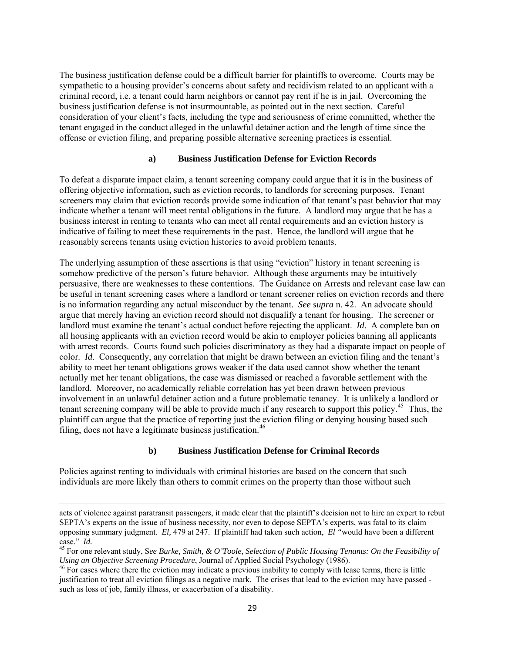The business justification defense could be a difficult barrier for plaintiffs to overcome. Courts may be sympathetic to a housing provider's concerns about safety and recidivism related to an applicant with a criminal record, i.e. a tenant could harm neighbors or cannot pay rent if he is in jail. Overcoming the business justification defense is not insurmountable, as pointed out in the next section. Careful consideration of your client's facts, including the type and seriousness of crime committed, whether the tenant engaged in the conduct alleged in the unlawful detainer action and the length of time since the offense or eviction filing, and preparing possible alternative screening practices is essential.

#### **a) Business Justification Defense for Eviction Records**

To defeat a disparate impact claim, a tenant screening company could argue that it is in the business of offering objective information, such as eviction records, to landlords for screening purposes. Tenant screeners may claim that eviction records provide some indication of that tenant's past behavior that may indicate whether a tenant will meet rental obligations in the future. A landlord may argue that he has a business interest in renting to tenants who can meet all rental requirements and an eviction history is indicative of failing to meet these requirements in the past. Hence, the landlord will argue that he reasonably screens tenants using eviction histories to avoid problem tenants.

The underlying assumption of these assertions is that using "eviction" history in tenant screening is somehow predictive of the person's future behavior. Although these arguments may be intuitively persuasive, there are weaknesses to these contentions. The Guidance on Arrests and relevant case law can be useful in tenant screening cases where a landlord or tenant screener relies on eviction records and there is no information regarding any actual misconduct by the tenant. *See supra* n. 42. An advocate should argue that merely having an eviction record should not disqualify a tenant for housing. The screener or landlord must examine the tenant's actual conduct before rejecting the applicant. *Id*. A complete ban on all housing applicants with an eviction record would be akin to employer policies banning all applicants with arrest records. Courts found such policies discriminatory as they had a disparate impact on people of color. *Id*. Consequently, any correlation that might be drawn between an eviction filing and the tenant's ability to meet her tenant obligations grows weaker if the data used cannot show whether the tenant actually met her tenant obligations, the case was dismissed or reached a favorable settlement with the landlord. Moreover, no academically reliable correlation has yet been drawn between previous involvement in an unlawful detainer action and a future problematic tenancy. It is unlikely a landlord or tenant screening company will be able to provide much if any research to support this policy.[45](#page-28-0) Thus, the plaintiff can argue that the practice of reporting just the eviction filing or denying housing based such filing, does not have a legitimate business justification. $46$ 

#### **b) Business Justification Defense for Criminal Records**

Policies against renting to individuals with criminal histories are based on the concern that such individuals are more likely than others to commit crimes on the property than those without such

<u> 1989 - Johann Stein, marwolaethau a gweledydd a ganlad y ganlad y ganlad y ganlad y ganlad y ganlad y ganlad</u>

acts of violence against paratransit passengers, it made clear that the plaintiff's decision not to hire an expert to rebut SEPTA's experts on the issue of business necessity, nor even to depose SEPTA's experts, was fatal to its claim opposing summary judgment. *El,* 479 at 247. If plaintiff had taken such action, *El "*would have been a different

<span id="page-28-0"></span><sup>&</sup>lt;sup>45</sup> For one relevant study, See Burke, Smith, & O'Toole, Selection of Public Housing Tenants: On the Feasibility of *Using an Objective Screening Procedure*, Journal of Applied Social Psychology (1986).<br><sup>46</sup> For cases where there the eviction may indicate a previous inability to comply with lease terms, there is little

<span id="page-28-1"></span>justification to treat all eviction filings as a negative mark. The crises that lead to the eviction may have passed such as loss of job, family illness, or exacerbation of a disability.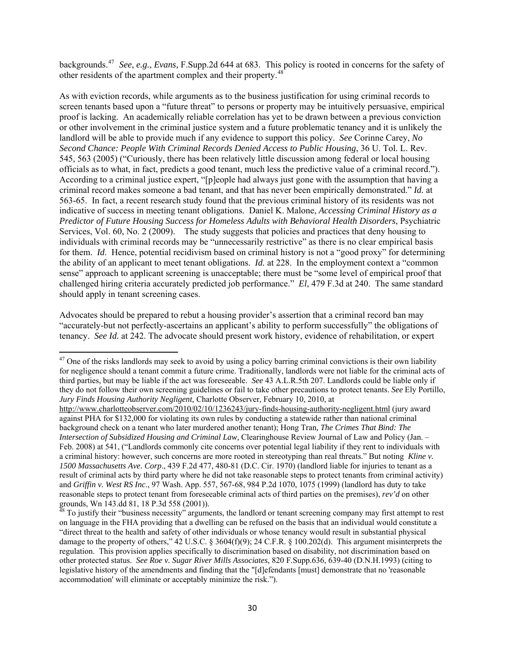backgrounds.[47](#page-29-0) *See*, *e.g.*, *Evans,* F.Supp.2d 644 at 683. This policy is rooted in concerns for the safety of other residents of the apartment complex and their property.[48](#page-29-1)

As with eviction records, while arguments as to the business justification for using criminal records to screen tenants based upon a "future threat" to persons or property may be intuitively persuasive, empirical proof is lacking. An academically reliable correlation has yet to be drawn between a previous conviction or other involvement in the criminal justice system and a future problematic tenancy and it is unlikely the landlord will be able to provide much if any evidence to support this policy. *See* Corinne Carey, *No Second Chance: People With Criminal Records Denied Access to Public Housing*, 36 U. Tol. L. Rev. 545, 563 (2005) ("Curiously, there has been relatively little discussion among federal or local housing officials as to what, in fact, predicts a good tenant, much less the predictive value of a criminal record."). According to a criminal justice expert, "[p]eople had always just gone with the assumption that having a criminal record makes someone a bad tenant, and that has never been empirically demonstrated." *Id.* at 563-65. In fact, a recent research study found that the previous criminal history of its residents was not indicative of success in meeting tenant obligations. Daniel K. Malone, *Accessing Criminal History as a Predictor of Future Housing Success for Homeless Adults with Behavioral Health Disorders*, Psychiatric Services, Vol. 60, No. 2 (2009). The study suggests that policies and practices that deny housing to individuals with criminal records may be "unnecessarily restrictive" as there is no clear empirical basis for them. *Id*. Hence, potential recidivism based on criminal history is not a "good proxy" for determining the ability of an applicant to meet tenant obligations. *Id.* at 228. In the employment context a "common sense" approach to applicant screening is unacceptable; there must be "some level of empirical proof that challenged hiring criteria accurately predicted job performance." *El*, 479 F.3d at 240. The same standard should apply in tenant screening cases.

Advocates should be prepared to rebut a housing provider's assertion that a criminal record ban may "accurately-but not perfectly-ascertains an applicant's ability to perform successfully" the obligations of tenancy. *See Id.* at 242. The advocate should present work history, evidence of rehabilitation, or expert

<span id="page-29-0"></span> $47$  One of the risks landlords may seek to avoid by using a policy barring criminal convictions is their own liability for negligence should a tenant commit a future crime. Traditionally, landlords were not liable for the criminal acts of third parties, but may be liable if the act was foreseeable. *See* 43 A.L.R.5th 207. Landlords could be liable only if they do not follow their own screening guidelines or fail to take other precautions to protect tenants. *See* Ely Portillo, *Jury Finds Housing Authority Negligent,* Charlotte Observer, February 10, 2010, at

<http://www.charlotteobserver.com/2010/02/10/1236243/jury-finds-housing-authority-negligent.html> (jury award against PHA for \$132,000 for violating its own rules by conducting a statewide rather than national criminal background check on a tenant who later murdered another tenant); Hong Tran*, The Crimes That Bind: The Intersection of Subsidized Housing and Criminal Law,* Clearinghouse Review Journal of Law and Policy (Jan. – Feb. 2008) at 541, ("Landlords commonly cite concerns over potential legal liability if they rent to individuals with a criminal history: however, such concerns are more rooted in stereotyping than real threats." But noting *Kline v. 1500 Massachusetts Ave. Corp*., 439 F.2d 477, 480-81 (D.C. Cir. 1970) (landlord liable for injuries to tenant as a result of criminal acts by third party where he did not take reasonable steps to protect tenants from criminal activity) and *Griffin v. West RS Inc*., 97 Wash. App. 557, 567-68, 984 P.2d 1070, 1075 (1999) (landlord has duty to take reasonable steps to protect tenant from foreseeable criminal acts of third parties on the premises), *rev'd* on other grounds, Wn 143.dd 81, 18 P.3d 558 (2001)).

<span id="page-29-1"></span> $^{48}$  To justify their "business necessity" arguments, the landlord or tenant screening company may first attempt to rest on language in the FHA providing that a dwelling can be refused on the basis that an individual would constitute a "direct threat to the health and safety of other individuals or whose tenancy would result in substantial physical damage to the property of others," 42 U.S.C. § 3604(f)(9); 24 C.F.R. § 100.202(d). This argument misinterprets the regulation. This provision applies specifically to discrimination based on disability, not discrimination based on other protected status. *See Roe v. Sugar River Mills Associates*, 820 F.Supp.636, 639-40 (D.N.H.1993) (citing to legislative history of the amendments and finding that the "[d]efendants [must] demonstrate that no 'reasonable accommodation' will eliminate or acceptably minimize the risk.").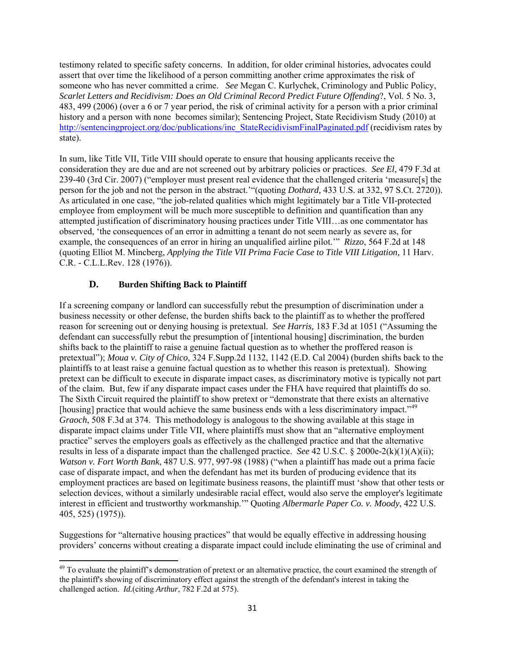testimony related to specific safety concerns. In addition, for older criminal histories, advocates could assert that over time the likelihood of a person committing another crime approximates the risk of someone who has never committed a crime. *See* Megan C. Kurlychek, Criminology and Public Policy, *Scarlet Letters and Recidivism: Does an Old Criminal Record Predict Future Offending*?, Vol. 5 No. 3, 483, 499 (2006) (over a 6 or 7 year period, the risk of criminal activity for a person with a prior criminal history and a person with none becomes similar); Sentencing Project, State Recidivism Study (2010) at [http://sentencingproject.org/doc/publications/inc\\_StateRecidivismFinalPaginated.pdf](http://sentencingproject.org/doc/publications/inc_StateRecidivismFinalPaginated.pdf) (recidivism rates by state).

In sum, like Title VII, Title VIII should operate to ensure that housing applicants receive the consideration they are due and are not screened out by arbitrary policies or practices. *See El*, 479 F.3d at 239-40 (3rd Cir. 2007) ("employer must present real evidence that the challenged criteria 'measure[s] the person for the job and not the person in the abstract.'"(quoting *Dothard,* [433 U.S. at 332, 97 S.Ct. 2720\)](https://web2.westlaw.com/find/default.wl?tf=-1&rs=WLW10.10&serialnum=1977118841&fn=_top&sv=Split&tc=-1&pbc=93CC4A9B&ordoc=2011714458&findtype=Y&stid=%7b25d89f16-8b75-4301-ad9a-312221e753dd%7d&db=708&vr=2.0&rp=%2ffind%2fdefault.wl&mt=Washington)). As articulated in one case, "the job-related qualities which might legitimately bar a Title VII-protected employee from employment will be much more susceptible to definition and quantification than any attempted justification of discriminatory housing practices under Title VIII…as one commentator has observed, 'the consequences of an error in admitting a tenant do not seem nearly as severe as, for example, the consequences of an error in hiring an unqualified airline pilot.'" *Rizzo*, 564 F.2d at 148 (quoting Elliot M. Mincberg, *Applying the Title VII Prima Facie Case to Title VIII Litigation,* 11 Harv. C.R. - C.L.L.Rev. 128 (1976)).

# **D. Burden Shifting Back to Plaintiff**

If a screening company or landlord can successfully rebut the presumption of discrimination under a business necessity or other defense, the burden shifts back to the plaintiff as to whether the proffered reason for screening out or denying housing is pretextual. *See Harris,* 183 F.3d at 1051 ("Assuming the defendant can successfully rebut the presumption of [intentional housing] discrimination, the burden shifts back to the plaintiff to raise a genuine factual question as to whether the proffered reason is pretextual"); *Moua v. City of Chico*, 324 F.Supp.2d 1132, 1142 (E.D. Cal 2004) (burden shifts back to the plaintiffs to at least raise a genuine factual question as to whether this reason is pretextual). Showing pretext can be difficult to execute in disparate impact cases, as discriminatory motive is typically not part of the claim. But, few if any disparate impact cases under the FHA have required that plaintiffs do so. The Sixth Circuit required the plaintiff to show pretext or "demonstrate that there exists an alternative [housing] practice that would achieve the same business ends with a less discriminatory impact."<sup>[49](#page-30-0)</sup> *Graoch*, 508 F.3d at 374. This methodology is analogous to the showing available at this stage in disparate impact claims under Title VII, where plaintiffs must show that an "alternative employment practice" serves the employers goals as effectively as the challenged practice and that the alternative results in less of a disparate impact than the challenged practice. *See* 42 U.S.C. § 2000e-2(k)(1)(A)(ii); *Watson v. Fort Worth Bank*, 487 U.S. 977, 997-98 (1988) ("when a plaintiff has made out a prima facie case of disparate impact, and when the defendant has met its burden of producing evidence that its employment practices are based on legitimate business reasons, the plaintiff must 'show that other tests or selection devices, without a similarly undesirable racial effect, would also serve the employer's legitimate interest in efficient and trustworthy workmanship.'" Quoting *Albermarle Paper Co. v. Moody*, 422 U.S. 405, 525) (1975)).

Suggestions for "alternative housing practices" that would be equally effective in addressing housing providers' concerns without creating a disparate impact could include eliminating the use of criminal and

<span id="page-30-0"></span>  $49$  To evaluate the plaintiff's demonstration of pretext or an alternative practice, the court examined the strength of the plaintiff's showing of discriminatory effect against the strength of the defendant's interest in taking the challenged action. *Id.*(citing *Arthur*, 782 F.2d at 575).